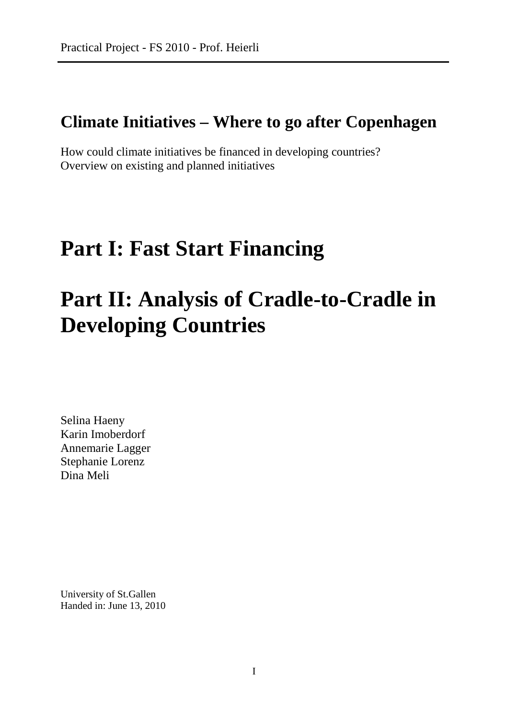# **Climate Initiatives – Where to go after Copenhagen**

How could climate initiatives be financed in developing countries? Overview on existing and planned initiatives

# **Part I: Fast Start Financing**

# **Part II: Analysis of Cradle-to-Cradle in Developing Countries**

Selina Haeny Karin Imoberdorf Annemarie Lagger Stephanie Lorenz Dina Meli

University of St.Gallen Handed in: June 13, 2010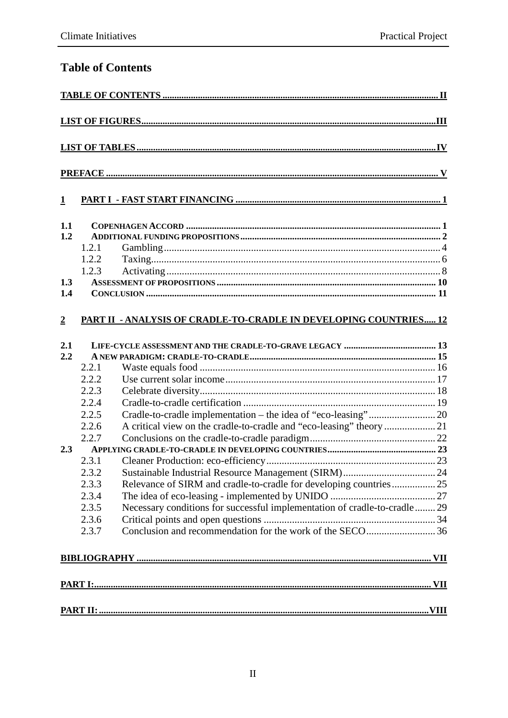# **Table of Contents**

| $\mathbf{1}$   |       |                                                                           |  |  |
|----------------|-------|---------------------------------------------------------------------------|--|--|
| 1.1            |       |                                                                           |  |  |
| 1.2            |       |                                                                           |  |  |
|                | 1.2.1 |                                                                           |  |  |
|                | 1.2.2 |                                                                           |  |  |
|                | 1.2.3 |                                                                           |  |  |
| 1.3            |       |                                                                           |  |  |
| 1.4            |       |                                                                           |  |  |
| $\overline{2}$ |       | PART II - ANALYSIS OF CRADLE-TO-CRADLE IN DEVELOPING COUNTRIES 12         |  |  |
| 2.1            |       |                                                                           |  |  |
| 2.2            |       |                                                                           |  |  |
|                | 2.2.1 |                                                                           |  |  |
|                | 2.2.2 |                                                                           |  |  |
|                | 2.2.3 |                                                                           |  |  |
|                | 2.2.4 |                                                                           |  |  |
|                | 2.2.5 |                                                                           |  |  |
|                | 2.2.6 | A critical view on the cradle-to-cradle and "eco-leasing" theory  21      |  |  |
|                | 2.2.7 |                                                                           |  |  |
| 2.3            |       |                                                                           |  |  |
|                | 2.3.1 |                                                                           |  |  |
|                | 2.3.2 |                                                                           |  |  |
|                | 2.3.3 | Relevance of SIRM and cradle-to-cradle for developing countries 25        |  |  |
|                | 2.3.4 |                                                                           |  |  |
|                | 2.3.5 | Necessary conditions for successful implementation of cradle-to-cradle 29 |  |  |
|                | 2.3.6 |                                                                           |  |  |
|                | 2.3.7 |                                                                           |  |  |
|                |       |                                                                           |  |  |
|                |       |                                                                           |  |  |
|                |       |                                                                           |  |  |
|                |       |                                                                           |  |  |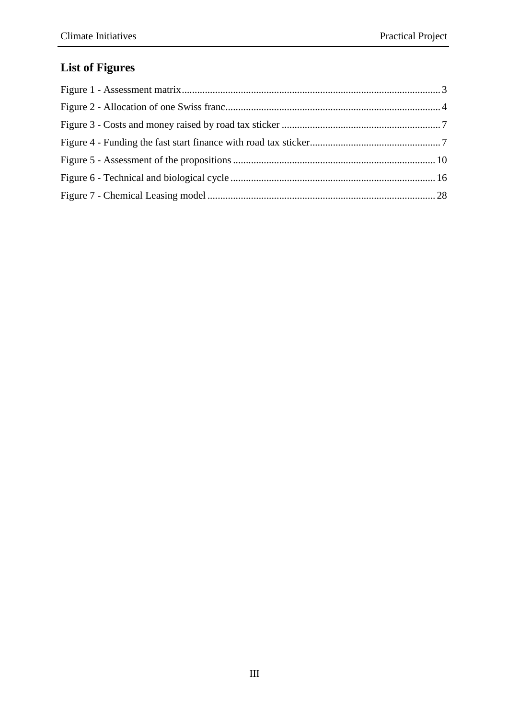# **List of Figures**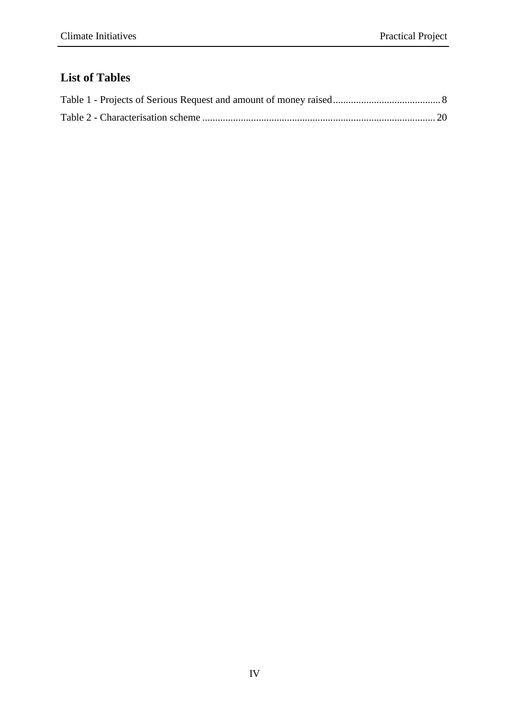# **List of Tables**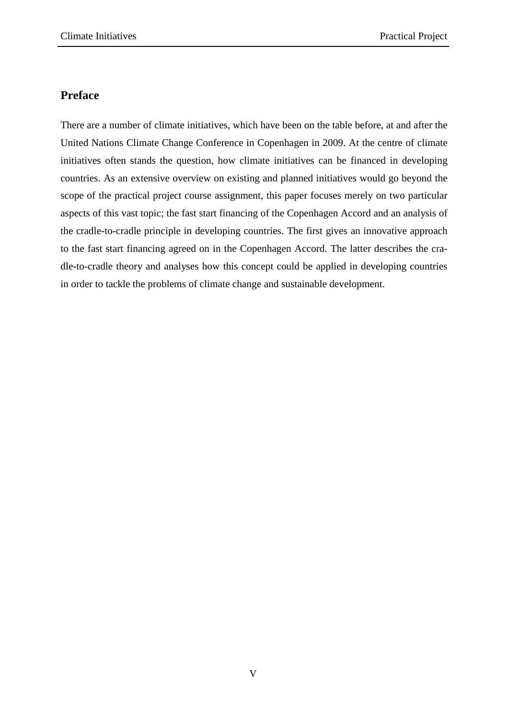## **Preface**

There are a number of climate initiatives, which have been on the table before, at and after the United Nations Climate Change Conference in Copenhagen in 2009. At the centre of climate initiatives often stands the question, how climate initiatives can be financed in developing countries. As an extensive overview on existing and planned initiatives would go beyond the scope of the practical project course assignment, this paper focuses merely on two particular aspects of this vast topic; the fast start financing of the Copenhagen Accord and an analysis of the cradle-to-cradle principle in developing countries. The first gives an innovative approach to the fast start financing agreed on in the Copenhagen Accord. The latter describes the cradle-to-cradle theory and analyses how this concept could be applied in developing countries in order to tackle the problems of climate change and sustainable development.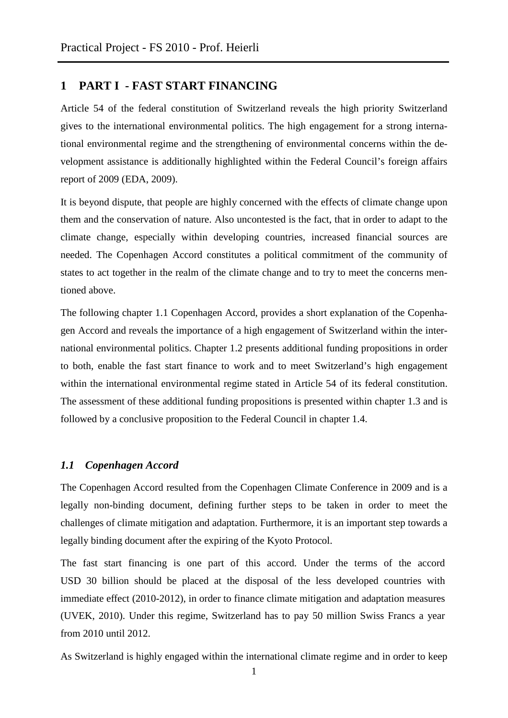### **1 PART I - FAST START FINANCING**

Article 54 of the federal constitution of Switzerland reveals the high priority Switzerland gives to the international environmental politics. The high engagement for a strong international environmental regime and the strengthening of environmental concerns within the development assistance is additionally highlighted within the Federal Council's foreign affairs report of 2009 (EDA, 2009).

It is beyond dispute, that people are highly concerned with the effects of climate change upon them and the conservation of nature. Also uncontested is the fact, that in order to adapt to the climate change, especially within developing countries, increased financial sources are needed. The Copenhagen Accord constitutes a political commitment of the community of states to act together in the realm of the climate change and to try to meet the concerns mentioned above.

The following chapter 1.1 Copenhagen Accord, provides a short explanation of the Copenhagen Accord and reveals the importance of a high engagement of Switzerland within the international environmental politics. Chapter 1.2 presents additional funding propositions in order to both, enable the fast start finance to work and to meet Switzerland's high engagement within the international environmental regime stated in Article 54 of its federal constitution. The assessment of these additional funding propositions is presented within chapter 1.3 and is followed by a conclusive proposition to the Federal Council in chapter 1.4.

#### *1.1 Copenhagen Accord*

The Copenhagen Accord resulted from the Copenhagen Climate Conference in 2009 and is a legally non-binding document, defining further steps to be taken in order to meet the challenges of climate mitigation and adaptation. Furthermore, it is an important step towards a legally binding document after the expiring of the Kyoto Protocol.

The fast start financing is one part of this accord. Under the terms of the accord USD 30 billion should be placed at the disposal of the less developed countries with immediate effect (2010-2012), in order to finance climate mitigation and adaptation measures (UVEK, 2010). Under this regime, Switzerland has to pay 50 million Swiss Francs a year from 2010 until 2012.

As Switzerland is highly engaged within the international climate regime and in order to keep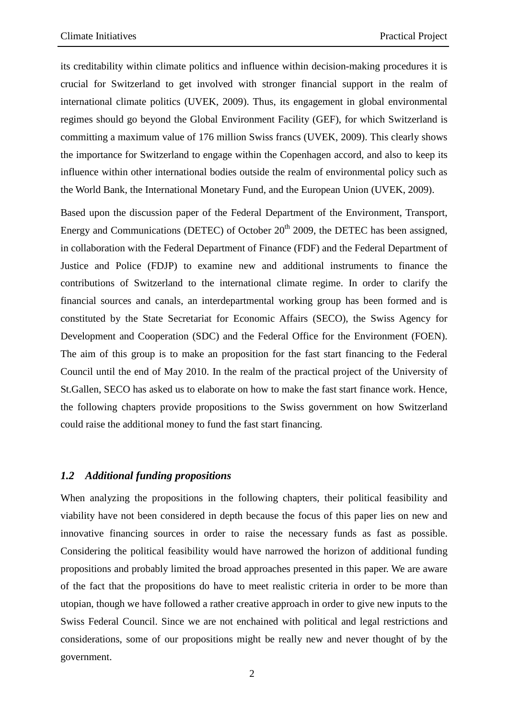its creditability within climate politics and influence within decision-making procedures it is crucial for Switzerland to get involved with stronger financial support in the realm of international climate politics (UVEK, 2009). Thus, its engagement in global environmental regimes should go beyond the Global Environment Facility (GEF), for which Switzerland is committing a maximum value of 176 million Swiss francs (UVEK, 2009). This clearly shows the importance for Switzerland to engage within the Copenhagen accord, and also to keep its influence within other international bodies outside the realm of environmental policy such as the World Bank, the International Monetary Fund, and the European Union (UVEK, 2009).

Based upon the discussion paper of the Federal Department of the Environment, Transport, Energy and Communications (DETEC) of October  $20<sup>th</sup>$  2009, the DETEC has been assigned, in collaboration with the Federal Department of Finance (FDF) and the Federal Department of Justice and Police (FDJP) to examine new and additional instruments to finance the contributions of Switzerland to the international climate regime. In order to clarify the financial sources and canals, an interdepartmental working group has been formed and is constituted by the State Secretariat for Economic Affairs (SECO), the Swiss Agency for Development and Cooperation (SDC) and the Federal Office for the Environment (FOEN). The aim of this group is to make an proposition for the fast start financing to the Federal Council until the end of May 2010. In the realm of the practical project of the University of St.Gallen, SECO has asked us to elaborate on how to make the fast start finance work. Hence, the following chapters provide propositions to the Swiss government on how Switzerland could raise the additional money to fund the fast start financing.

#### *1.2 Additional funding propositions*

When analyzing the propositions in the following chapters, their political feasibility and viability have not been considered in depth because the focus of this paper lies on new and innovative financing sources in order to raise the necessary funds as fast as possible. Considering the political feasibility would have narrowed the horizon of additional funding propositions and probably limited the broad approaches presented in this paper. We are aware of the fact that the propositions do have to meet realistic criteria in order to be more than utopian, though we have followed a rather creative approach in order to give new inputs to the Swiss Federal Council. Since we are not enchained with political and legal restrictions and considerations, some of our propositions might be really new and never thought of by the government.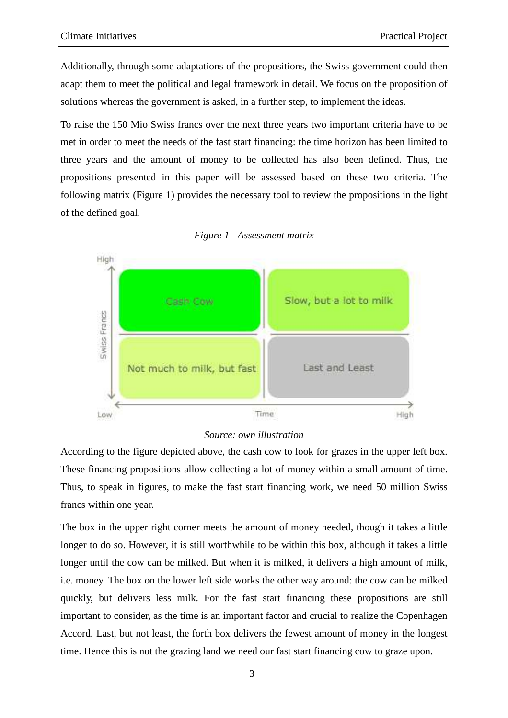Additionally, through some adaptations of the propositions, the Swiss government could then adapt them to meet the political and legal framework in detail. We focus on the proposition of solutions whereas the government is asked, in a further step, to implement the ideas.

To raise the 150 Mio Swiss francs over the next three years two important criteria have to be met in order to meet the needs of the fast start financing: the time horizon has been limited to three years and the amount of money to be collected has also been defined. Thus, the propositions presented in this paper will be assessed based on these two criteria. The following matrix (Figure 1) provides the necessary tool to review the propositions in the light of the defined goal.





#### *Source: own illustration*

According to the figure depicted above, the cash cow to look for grazes in the upper left box. These financing propositions allow collecting a lot of money within a small amount of time. Thus, to speak in figures, to make the fast start financing work, we need 50 million Swiss francs within one year.

The box in the upper right corner meets the amount of money needed, though it takes a little longer to do so. However, it is still worthwhile to be within this box, although it takes a little longer until the cow can be milked. But when it is milked, it delivers a high amount of milk, i.e. money. The box on the lower left side works the other way around: the cow can be milked quickly, but delivers less milk. For the fast start financing these propositions are still important to consider, as the time is an important factor and crucial to realize the Copenhagen Accord. Last, but not least, the forth box delivers the fewest amount of money in the longest time. Hence this is not the grazing land we need our fast start financing cow to graze upon.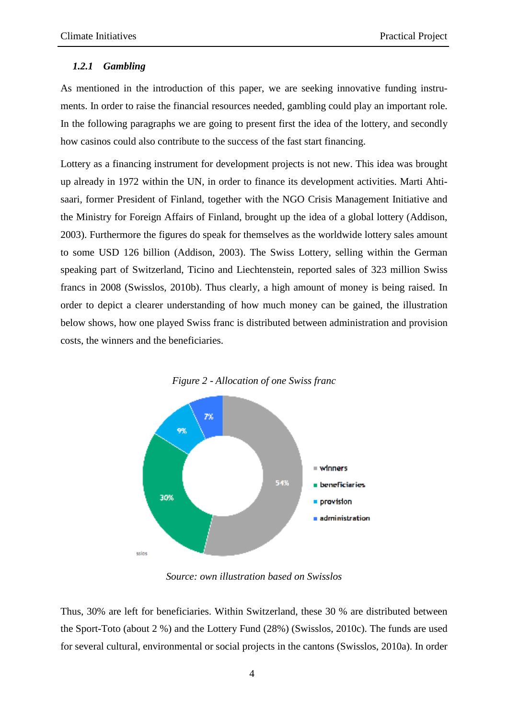#### *1.2.1 Gambling*

As mentioned in the introduction of this paper, we are seeking innovative funding instruments. In order to raise the financial resources needed, gambling could play an important role. In the following paragraphs we are going to present first the idea of the lottery, and secondly how casinos could also contribute to the success of the fast start financing.

Lottery as a financing instrument for development projects is not new. This idea was brought up already in 1972 within the UN, in order to finance its development activities. Marti Ahtisaari, former President of Finland, together with the NGO Crisis Management Initiative and the Ministry for Foreign Affairs of Finland, brought up the idea of a global lottery (Addison, 2003). Furthermore the figures do speak for themselves as the worldwide lottery sales amount to some USD 126 billion (Addison, 2003). The Swiss Lottery, selling within the German speaking part of Switzerland, Ticino and Liechtenstein, reported sales of 323 million Swiss francs in 2008 (Swisslos, 2010b). Thus clearly, a high amount of money is being raised. In order to depict a clearer understanding of how much money can be gained, the illustration below shows, how one played Swiss franc is distributed between administration and provision costs, the winners and the beneficiaries.



54%

 $=$  winners

**beneficiaries** 

administration

provision



*Source: own illustration based on Swisslos* 

30%

eclos

Thus, 30% are left for beneficiaries. Within Switzerland, these 30 % are distributed between the Sport-Toto (about 2 %) and the Lottery Fund (28%) (Swisslos, 2010c). The funds are used for several cultural, environmental or social projects in the cantons (Swisslos, 2010a). In order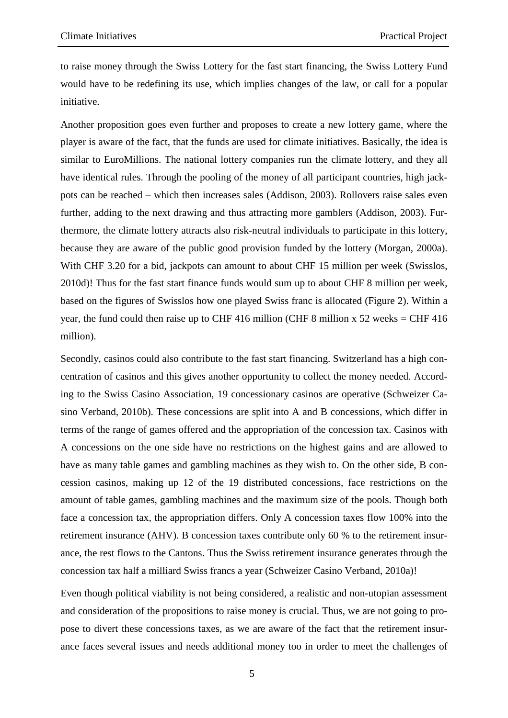to raise money through the Swiss Lottery for the fast start financing, the Swiss Lottery Fund would have to be redefining its use, which implies changes of the law, or call for a popular initiative.

Another proposition goes even further and proposes to create a new lottery game, where the player is aware of the fact, that the funds are used for climate initiatives. Basically, the idea is similar to EuroMillions. The national lottery companies run the climate lottery, and they all have identical rules. Through the pooling of the money of all participant countries, high jackpots can be reached – which then increases sales (Addison, 2003). Rollovers raise sales even further, adding to the next drawing and thus attracting more gamblers (Addison, 2003). Furthermore, the climate lottery attracts also risk-neutral individuals to participate in this lottery, because they are aware of the public good provision funded by the lottery (Morgan, 2000a). With CHF 3.20 for a bid, jackpots can amount to about CHF 15 million per week (Swisslos, 2010d)! Thus for the fast start finance funds would sum up to about CHF 8 million per week, based on the figures of Swisslos how one played Swiss franc is allocated (Figure 2). Within a year, the fund could then raise up to CHF 416 million (CHF 8 million x 52 weeks = CHF 416 million).

Secondly, casinos could also contribute to the fast start financing. Switzerland has a high concentration of casinos and this gives another opportunity to collect the money needed. According to the Swiss Casino Association, 19 concessionary casinos are operative (Schweizer Casino Verband, 2010b). These concessions are split into A and B concessions, which differ in terms of the range of games offered and the appropriation of the concession tax. Casinos with A concessions on the one side have no restrictions on the highest gains and are allowed to have as many table games and gambling machines as they wish to. On the other side, B concession casinos, making up 12 of the 19 distributed concessions, face restrictions on the amount of table games, gambling machines and the maximum size of the pools. Though both face a concession tax, the appropriation differs. Only A concession taxes flow 100% into the retirement insurance (AHV). B concession taxes contribute only 60 % to the retirement insurance, the rest flows to the Cantons. Thus the Swiss retirement insurance generates through the concession tax half a milliard Swiss francs a year (Schweizer Casino Verband, 2010a)!

Even though political viability is not being considered, a realistic and non-utopian assessment and consideration of the propositions to raise money is crucial. Thus, we are not going to propose to divert these concessions taxes, as we are aware of the fact that the retirement insurance faces several issues and needs additional money too in order to meet the challenges of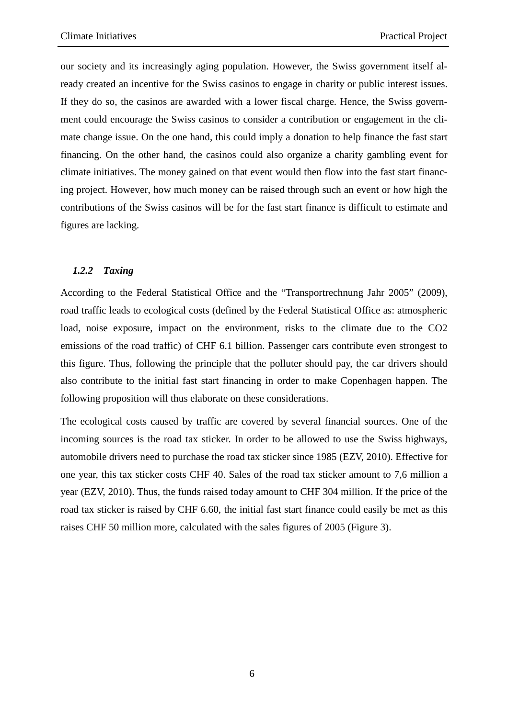our society and its increasingly aging population. However, the Swiss government itself already created an incentive for the Swiss casinos to engage in charity or public interest issues. If they do so, the casinos are awarded with a lower fiscal charge. Hence, the Swiss government could encourage the Swiss casinos to consider a contribution or engagement in the climate change issue. On the one hand, this could imply a donation to help finance the fast start financing. On the other hand, the casinos could also organize a charity gambling event for climate initiatives. The money gained on that event would then flow into the fast start financing project. However, how much money can be raised through such an event or how high the contributions of the Swiss casinos will be for the fast start finance is difficult to estimate and figures are lacking.

#### *1.2.2 Taxing*

According to the Federal Statistical Office and the "Transportrechnung Jahr 2005" (2009), road traffic leads to ecological costs (defined by the Federal Statistical Office as: atmospheric load, noise exposure, impact on the environment, risks to the climate due to the CO2 emissions of the road traffic) of CHF 6.1 billion. Passenger cars contribute even strongest to this figure. Thus, following the principle that the polluter should pay, the car drivers should also contribute to the initial fast start financing in order to make Copenhagen happen. The following proposition will thus elaborate on these considerations.

The ecological costs caused by traffic are covered by several financial sources. One of the incoming sources is the road tax sticker. In order to be allowed to use the Swiss highways, automobile drivers need to purchase the road tax sticker since 1985 (EZV, 2010). Effective for one year, this tax sticker costs CHF 40. Sales of the road tax sticker amount to 7,6 million a year (EZV, 2010). Thus, the funds raised today amount to CHF 304 million. If the price of the road tax sticker is raised by CHF 6.60, the initial fast start finance could easily be met as this raises CHF 50 million more, calculated with the sales figures of 2005 (Figure 3).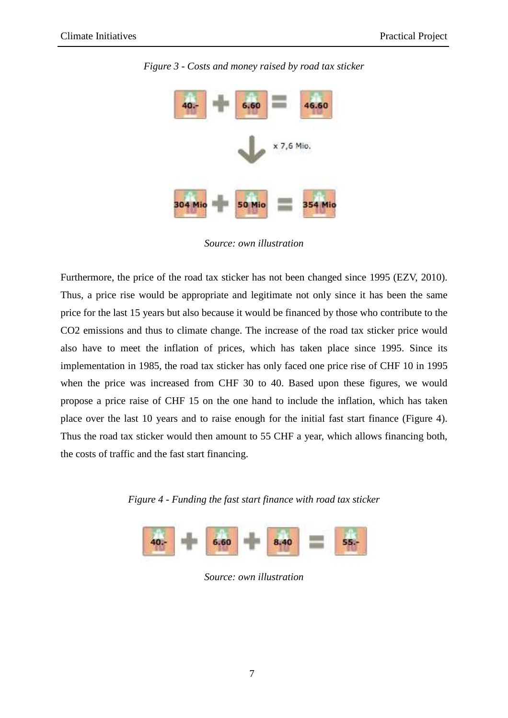

*Figure 3 - Costs and money raised by road tax sticker* 

*Source: own illustration* 

Furthermore, the price of the road tax sticker has not been changed since 1995 (EZV, 2010). Thus, a price rise would be appropriate and legitimate not only since it has been the same price for the last 15 years but also because it would be financed by those who contribute to the CO2 emissions and thus to climate change. The increase of the road tax sticker price would also have to meet the inflation of prices, which has taken place since 1995. Since its implementation in 1985, the road tax sticker has only faced one price rise of CHF 10 in 1995 when the price was increased from CHF 30 to 40. Based upon these figures, we would propose a price raise of CHF 15 on the one hand to include the inflation, which has taken place over the last 10 years and to raise enough for the initial fast start finance (Figure 4). Thus the road tax sticker would then amount to 55 CHF a year, which allows financing both, the costs of traffic and the fast start financing.

*Figure 4 - Funding the fast start finance with road tax sticker* 



*Source: own illustration*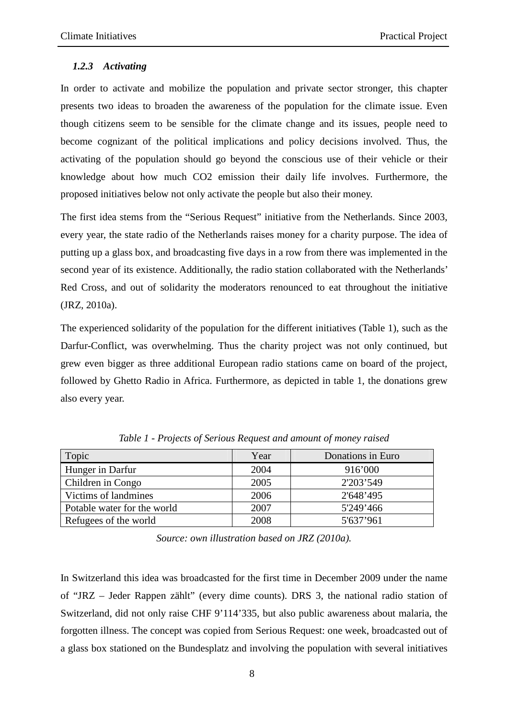#### *1.2.3 Activating*

In order to activate and mobilize the population and private sector stronger, this chapter presents two ideas to broaden the awareness of the population for the climate issue. Even though citizens seem to be sensible for the climate change and its issues, people need to become cognizant of the political implications and policy decisions involved. Thus, the activating of the population should go beyond the conscious use of their vehicle or their knowledge about how much CO2 emission their daily life involves. Furthermore, the proposed initiatives below not only activate the people but also their money.

The first idea stems from the "Serious Request" initiative from the Netherlands. Since 2003, every year, the state radio of the Netherlands raises money for a charity purpose. The idea of putting up a glass box, and broadcasting five days in a row from there was implemented in the second year of its existence. Additionally, the radio station collaborated with the Netherlands' Red Cross, and out of solidarity the moderators renounced to eat throughout the initiative (JRZ, 2010a).

The experienced solidarity of the population for the different initiatives (Table 1), such as the Darfur-Conflict, was overwhelming. Thus the charity project was not only continued, but grew even bigger as three additional European radio stations came on board of the project, followed by Ghetto Radio in Africa. Furthermore, as depicted in table 1, the donations grew also every year.

| Topic                       | Year | Donations in Euro |
|-----------------------------|------|-------------------|
| Hunger in Darfur            | 2004 | 916'000           |
| Children in Congo           | 2005 | 2'203'549         |
| Victims of landmines        | 2006 | 2'648'495         |
| Potable water for the world | 2007 | 5'249'466         |
| Refugees of the world       | 2008 | 5'637'961         |

*Table 1 - Projects of Serious Request and amount of money raised* 

*Source: own illustration based on JRZ (2010a).* 

In Switzerland this idea was broadcasted for the first time in December 2009 under the name of "JRZ – Jeder Rappen zählt" (every dime counts). DRS 3, the national radio station of Switzerland, did not only raise CHF 9'114'335, but also public awareness about malaria, the forgotten illness. The concept was copied from Serious Request: one week, broadcasted out of a glass box stationed on the Bundesplatz and involving the population with several initiatives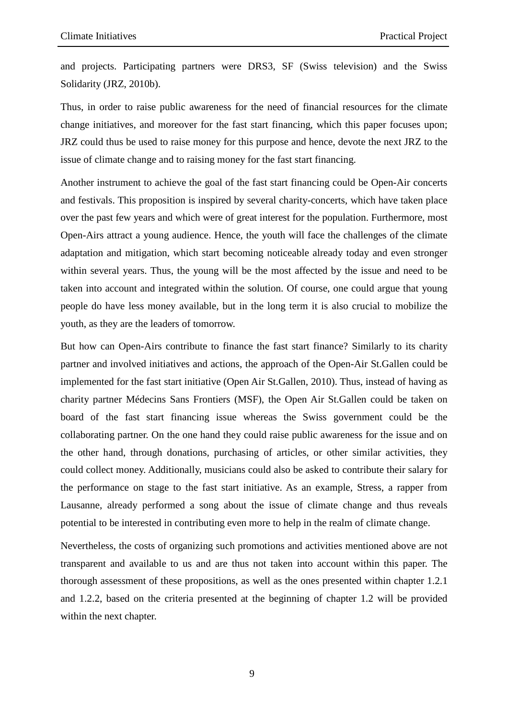and projects. Participating partners were DRS3, SF (Swiss television) and the Swiss Solidarity (JRZ, 2010b).

Thus, in order to raise public awareness for the need of financial resources for the climate change initiatives, and moreover for the fast start financing, which this paper focuses upon; JRZ could thus be used to raise money for this purpose and hence, devote the next JRZ to the issue of climate change and to raising money for the fast start financing.

Another instrument to achieve the goal of the fast start financing could be Open-Air concerts and festivals. This proposition is inspired by several charity-concerts, which have taken place over the past few years and which were of great interest for the population. Furthermore, most Open-Airs attract a young audience. Hence, the youth will face the challenges of the climate adaptation and mitigation, which start becoming noticeable already today and even stronger within several years. Thus, the young will be the most affected by the issue and need to be taken into account and integrated within the solution. Of course, one could argue that young people do have less money available, but in the long term it is also crucial to mobilize the youth, as they are the leaders of tomorrow.

But how can Open-Airs contribute to finance the fast start finance? Similarly to its charity partner and involved initiatives and actions, the approach of the Open-Air St.Gallen could be implemented for the fast start initiative (Open Air St.Gallen, 2010). Thus, instead of having as charity partner Médecins Sans Frontiers (MSF), the Open Air St.Gallen could be taken on board of the fast start financing issue whereas the Swiss government could be the collaborating partner. On the one hand they could raise public awareness for the issue and on the other hand, through donations, purchasing of articles, or other similar activities, they could collect money. Additionally, musicians could also be asked to contribute their salary for the performance on stage to the fast start initiative. As an example, Stress, a rapper from Lausanne, already performed a song about the issue of climate change and thus reveals potential to be interested in contributing even more to help in the realm of climate change.

Nevertheless, the costs of organizing such promotions and activities mentioned above are not transparent and available to us and are thus not taken into account within this paper. The thorough assessment of these propositions, as well as the ones presented within chapter 1.2.1 and 1.2.2, based on the criteria presented at the beginning of chapter 1.2 will be provided within the next chapter.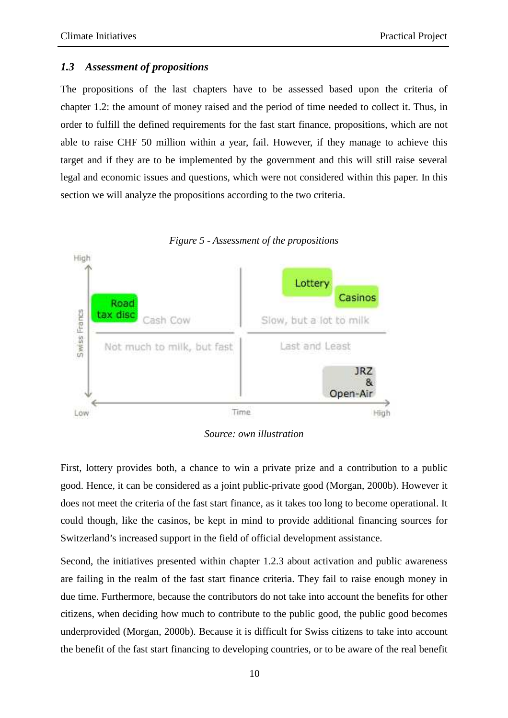#### *1.3 Assessment of propositions*

The propositions of the last chapters have to be assessed based upon the criteria of chapter 1.2: the amount of money raised and the period of time needed to collect it. Thus, in order to fulfill the defined requirements for the fast start finance, propositions, which are not able to raise CHF 50 million within a year, fail. However, if they manage to achieve this target and if they are to be implemented by the government and this will still raise several legal and economic issues and questions, which were not considered within this paper. In this section we will analyze the propositions according to the two criteria.





*Source: own illustration* 

First, lottery provides both, a chance to win a private prize and a contribution to a public good. Hence, it can be considered as a joint public-private good (Morgan, 2000b). However it does not meet the criteria of the fast start finance, as it takes too long to become operational. It could though, like the casinos, be kept in mind to provide additional financing sources for Switzerland's increased support in the field of official development assistance.

Second, the initiatives presented within chapter 1.2.3 about activation and public awareness are failing in the realm of the fast start finance criteria. They fail to raise enough money in due time. Furthermore, because the contributors do not take into account the benefits for other citizens, when deciding how much to contribute to the public good, the public good becomes underprovided (Morgan, 2000b). Because it is difficult for Swiss citizens to take into account the benefit of the fast start financing to developing countries, or to be aware of the real benefit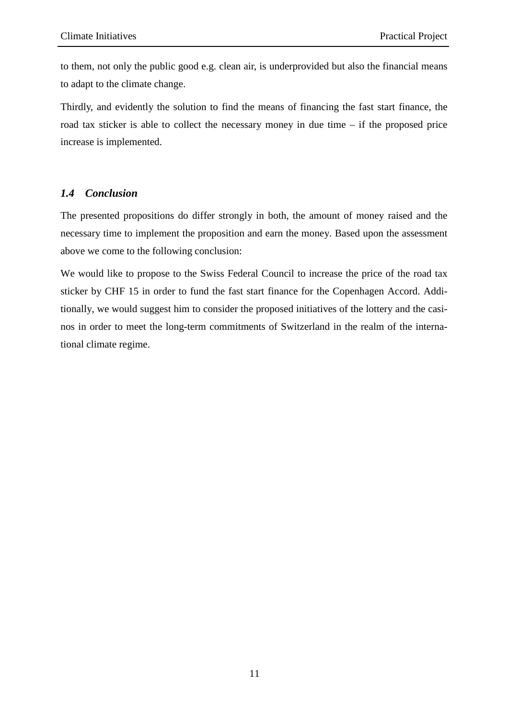to them, not only the public good e.g. clean air, is underprovided but also the financial means to adapt to the climate change.

Thirdly, and evidently the solution to find the means of financing the fast start finance, the road tax sticker is able to collect the necessary money in due time – if the proposed price increase is implemented.

#### *1.4 Conclusion*

The presented propositions do differ strongly in both, the amount of money raised and the necessary time to implement the proposition and earn the money. Based upon the assessment above we come to the following conclusion:

We would like to propose to the Swiss Federal Council to increase the price of the road tax sticker by CHF 15 in order to fund the fast start finance for the Copenhagen Accord. Additionally, we would suggest him to consider the proposed initiatives of the lottery and the casinos in order to meet the long-term commitments of Switzerland in the realm of the international climate regime.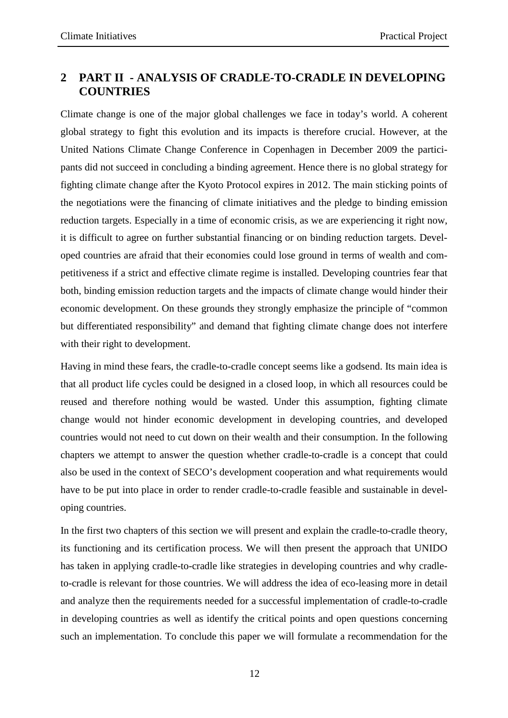## **2 PART II - ANALYSIS OF CRADLE-TO-CRADLE IN DEVELOPING COUNTRIES**

Climate change is one of the major global challenges we face in today's world. A coherent global strategy to fight this evolution and its impacts is therefore crucial. However, at the United Nations Climate Change Conference in Copenhagen in December 2009 the participants did not succeed in concluding a binding agreement. Hence there is no global strategy for fighting climate change after the Kyoto Protocol expires in 2012. The main sticking points of the negotiations were the financing of climate initiatives and the pledge to binding emission reduction targets. Especially in a time of economic crisis, as we are experiencing it right now, it is difficult to agree on further substantial financing or on binding reduction targets. Developed countries are afraid that their economies could lose ground in terms of wealth and competitiveness if a strict and effective climate regime is installed. Developing countries fear that both, binding emission reduction targets and the impacts of climate change would hinder their economic development. On these grounds they strongly emphasize the principle of "common but differentiated responsibility" and demand that fighting climate change does not interfere with their right to development.

Having in mind these fears, the cradle-to-cradle concept seems like a godsend. Its main idea is that all product life cycles could be designed in a closed loop, in which all resources could be reused and therefore nothing would be wasted. Under this assumption, fighting climate change would not hinder economic development in developing countries, and developed countries would not need to cut down on their wealth and their consumption. In the following chapters we attempt to answer the question whether cradle-to-cradle is a concept that could also be used in the context of SECO's development cooperation and what requirements would have to be put into place in order to render cradle-to-cradle feasible and sustainable in developing countries.

In the first two chapters of this section we will present and explain the cradle-to-cradle theory, its functioning and its certification process. We will then present the approach that UNIDO has taken in applying cradle-to-cradle like strategies in developing countries and why cradleto-cradle is relevant for those countries. We will address the idea of eco-leasing more in detail and analyze then the requirements needed for a successful implementation of cradle-to-cradle in developing countries as well as identify the critical points and open questions concerning such an implementation. To conclude this paper we will formulate a recommendation for the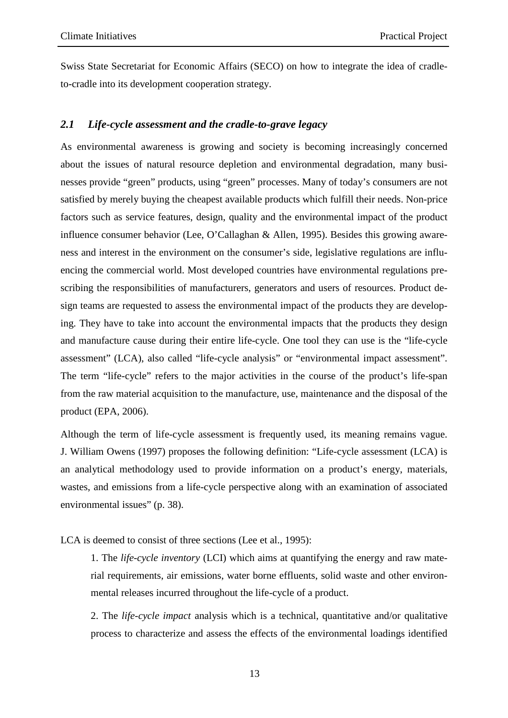Swiss State Secretariat for Economic Affairs (SECO) on how to integrate the idea of cradleto-cradle into its development cooperation strategy.

### *2.1 Life-cycle assessment and the cradle-to-grave legacy*

As environmental awareness is growing and society is becoming increasingly concerned about the issues of natural resource depletion and environmental degradation, many businesses provide "green" products, using "green" processes. Many of today's consumers are not satisfied by merely buying the cheapest available products which fulfill their needs. Non-price factors such as service features, design, quality and the environmental impact of the product influence consumer behavior (Lee, O'Callaghan & Allen, 1995). Besides this growing awareness and interest in the environment on the consumer's side, legislative regulations are influencing the commercial world. Most developed countries have environmental regulations prescribing the responsibilities of manufacturers, generators and users of resources. Product design teams are requested to assess the environmental impact of the products they are developing. They have to take into account the environmental impacts that the products they design and manufacture cause during their entire life-cycle. One tool they can use is the "life-cycle assessment" (LCA), also called "life-cycle analysis" or "environmental impact assessment". The term "life-cycle" refers to the major activities in the course of the product's life-span from the raw material acquisition to the manufacture, use, maintenance and the disposal of the product (EPA, 2006).

Although the term of life-cycle assessment is frequently used, its meaning remains vague. J. William Owens (1997) proposes the following definition: "Life-cycle assessment (LCA) is an analytical methodology used to provide information on a product's energy, materials, wastes, and emissions from a life-cycle perspective along with an examination of associated environmental issues" (p. 38).

LCA is deemed to consist of three sections (Lee et al., 1995):

1. The *life-cycle inventory* (LCI) which aims at quantifying the energy and raw material requirements, air emissions, water borne effluents, solid waste and other environmental releases incurred throughout the life-cycle of a product.

2. The *life-cycle impact* analysis which is a technical, quantitative and/or qualitative process to characterize and assess the effects of the environmental loadings identified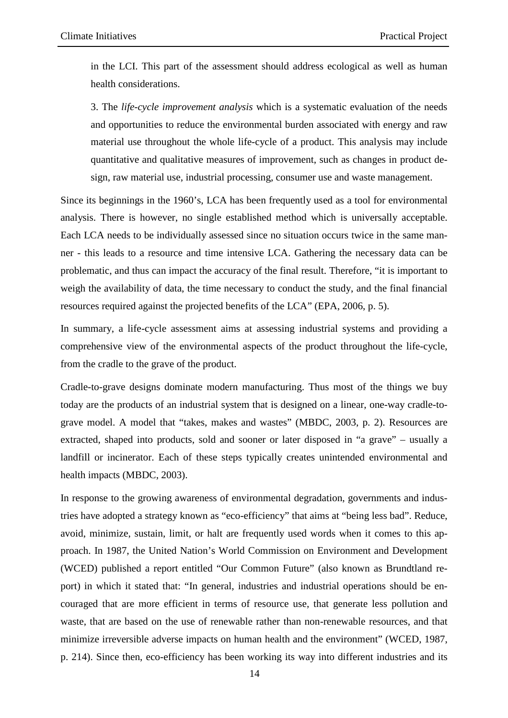in the LCI. This part of the assessment should address ecological as well as human health considerations.

3. The *life-cycle improvement analysis* which is a systematic evaluation of the needs and opportunities to reduce the environmental burden associated with energy and raw material use throughout the whole life-cycle of a product. This analysis may include quantitative and qualitative measures of improvement, such as changes in product design, raw material use, industrial processing, consumer use and waste management.

Since its beginnings in the 1960's, LCA has been frequently used as a tool for environmental analysis. There is however, no single established method which is universally acceptable. Each LCA needs to be individually assessed since no situation occurs twice in the same manner - this leads to a resource and time intensive LCA. Gathering the necessary data can be problematic, and thus can impact the accuracy of the final result. Therefore, "it is important to weigh the availability of data, the time necessary to conduct the study, and the final financial resources required against the projected benefits of the LCA" (EPA, 2006, p. 5).

In summary, a life-cycle assessment aims at assessing industrial systems and providing a comprehensive view of the environmental aspects of the product throughout the life-cycle, from the cradle to the grave of the product.

Cradle-to-grave designs dominate modern manufacturing. Thus most of the things we buy today are the products of an industrial system that is designed on a linear, one-way cradle-tograve model. A model that "takes, makes and wastes" (MBDC, 2003, p. 2). Resources are extracted, shaped into products, sold and sooner or later disposed in "a grave" – usually a landfill or incinerator. Each of these steps typically creates unintended environmental and health impacts (MBDC, 2003).

In response to the growing awareness of environmental degradation, governments and industries have adopted a strategy known as "eco-efficiency" that aims at "being less bad". Reduce, avoid, minimize, sustain, limit, or halt are frequently used words when it comes to this approach. In 1987, the United Nation's World Commission on Environment and Development (WCED) published a report entitled "Our Common Future" (also known as Brundtland report) in which it stated that: "In general, industries and industrial operations should be encouraged that are more efficient in terms of resource use, that generate less pollution and waste, that are based on the use of renewable rather than non-renewable resources, and that minimize irreversible adverse impacts on human health and the environment" (WCED, 1987, p. 214). Since then, eco-efficiency has been working its way into different industries and its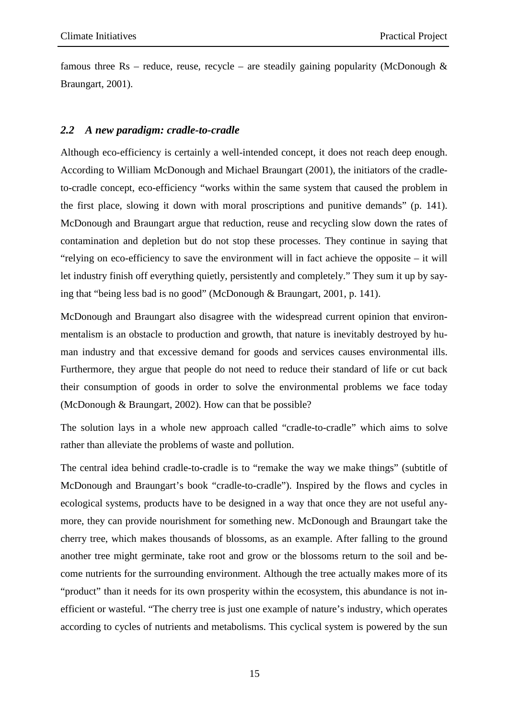famous three Rs – reduce, reuse, recycle – are steadily gaining popularity (McDonough  $\&$ Braungart, 2001).

#### *2.2 A new paradigm: cradle-to-cradle*

Although eco-efficiency is certainly a well-intended concept, it does not reach deep enough. According to William McDonough and Michael Braungart (2001), the initiators of the cradleto-cradle concept, eco-efficiency "works within the same system that caused the problem in the first place, slowing it down with moral proscriptions and punitive demands" (p. 141). McDonough and Braungart argue that reduction, reuse and recycling slow down the rates of contamination and depletion but do not stop these processes. They continue in saying that "relying on eco-efficiency to save the environment will in fact achieve the opposite – it will let industry finish off everything quietly, persistently and completely." They sum it up by saying that "being less bad is no good" (McDonough & Braungart, 2001, p. 141).

McDonough and Braungart also disagree with the widespread current opinion that environmentalism is an obstacle to production and growth, that nature is inevitably destroyed by human industry and that excessive demand for goods and services causes environmental ills. Furthermore, they argue that people do not need to reduce their standard of life or cut back their consumption of goods in order to solve the environmental problems we face today (McDonough & Braungart, 2002). How can that be possible?

The solution lays in a whole new approach called "cradle-to-cradle" which aims to solve rather than alleviate the problems of waste and pollution.

The central idea behind cradle-to-cradle is to "remake the way we make things" (subtitle of McDonough and Braungart's book "cradle-to-cradle"). Inspired by the flows and cycles in ecological systems, products have to be designed in a way that once they are not useful anymore, they can provide nourishment for something new. McDonough and Braungart take the cherry tree, which makes thousands of blossoms, as an example. After falling to the ground another tree might germinate, take root and grow or the blossoms return to the soil and become nutrients for the surrounding environment. Although the tree actually makes more of its "product" than it needs for its own prosperity within the ecosystem, this abundance is not inefficient or wasteful. "The cherry tree is just one example of nature's industry, which operates according to cycles of nutrients and metabolisms. This cyclical system is powered by the sun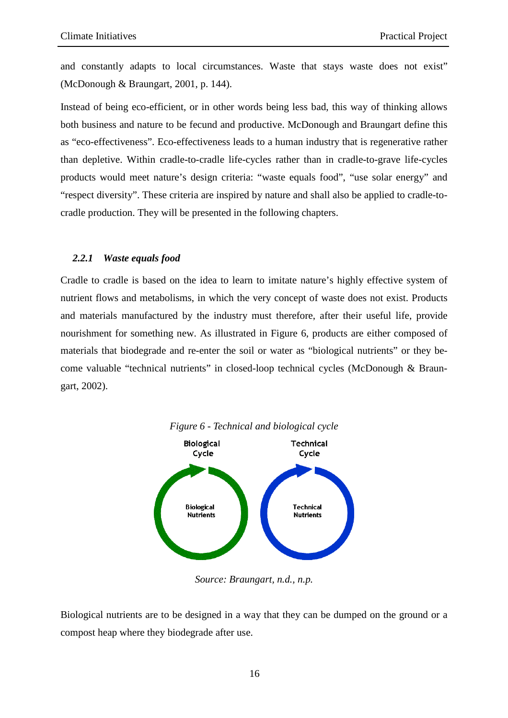and constantly adapts to local circumstances. Waste that stays waste does not exist" (McDonough & Braungart, 2001, p. 144).

Instead of being eco-efficient, or in other words being less bad, this way of thinking allows both business and nature to be fecund and productive. McDonough and Braungart define this as "eco-effectiveness". Eco-effectiveness leads to a human industry that is regenerative rather than depletive. Within cradle-to-cradle life-cycles rather than in cradle-to-grave life-cycles products would meet nature's design criteria: "waste equals food", "use solar energy" and "respect diversity". These criteria are inspired by nature and shall also be applied to cradle-tocradle production. They will be presented in the following chapters.

#### *2.2.1 Waste equals food*

Cradle to cradle is based on the idea to learn to imitate nature's highly effective system of nutrient flows and metabolisms, in which the very concept of waste does not exist. Products and materials manufactured by the industry must therefore, after their useful life, provide nourishment for something new. As illustrated in Figure 6, products are either composed of materials that biodegrade and re-enter the soil or water as "biological nutrients" or they become valuable "technical nutrients" in closed-loop technical cycles (McDonough & Braungart, 2002).



*Source: Braungart, n.d., n.p.* 

Biological nutrients are to be designed in a way that they can be dumped on the ground or a compost heap where they biodegrade after use.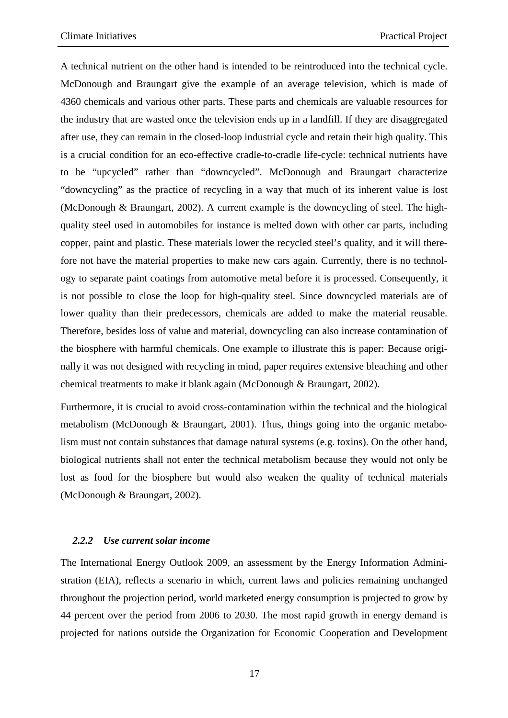A technical nutrient on the other hand is intended to be reintroduced into the technical cycle. McDonough and Braungart give the example of an average television, which is made of 4360 chemicals and various other parts. These parts and chemicals are valuable resources for the industry that are wasted once the television ends up in a landfill. If they are disaggregated after use, they can remain in the closed-loop industrial cycle and retain their high quality. This is a crucial condition for an eco-effective cradle-to-cradle life-cycle: technical nutrients have to be "upcycled" rather than "downcycled". McDonough and Braungart characterize "downcycling" as the practice of recycling in a way that much of its inherent value is lost (McDonough & Braungart, 2002). A current example is the downcycling of steel. The highquality steel used in automobiles for instance is melted down with other car parts, including copper, paint and plastic. These materials lower the recycled steel's quality, and it will therefore not have the material properties to make new cars again. Currently, there is no technology to separate paint coatings from automotive metal before it is processed. Consequently, it is not possible to close the loop for high-quality steel. Since downcycled materials are of lower quality than their predecessors, chemicals are added to make the material reusable. Therefore, besides loss of value and material, downcycling can also increase contamination of the biosphere with harmful chemicals. One example to illustrate this is paper: Because originally it was not designed with recycling in mind, paper requires extensive bleaching and other chemical treatments to make it blank again (McDonough & Braungart, 2002).

Furthermore, it is crucial to avoid cross-contamination within the technical and the biological metabolism (McDonough & Braungart, 2001). Thus, things going into the organic metabolism must not contain substances that damage natural systems (e.g. toxins). On the other hand, biological nutrients shall not enter the technical metabolism because they would not only be lost as food for the biosphere but would also weaken the quality of technical materials (McDonough & Braungart, 2002).

#### *2.2.2 Use current solar income*

The International Energy Outlook 2009, an assessment by the Energy Information Administration (EIA), reflects a scenario in which, current laws and policies remaining unchanged throughout the projection period, world marketed energy consumption is projected to grow by 44 percent over the period from 2006 to 2030. The most rapid growth in energy demand is projected for nations outside the Organization for Economic Cooperation and Development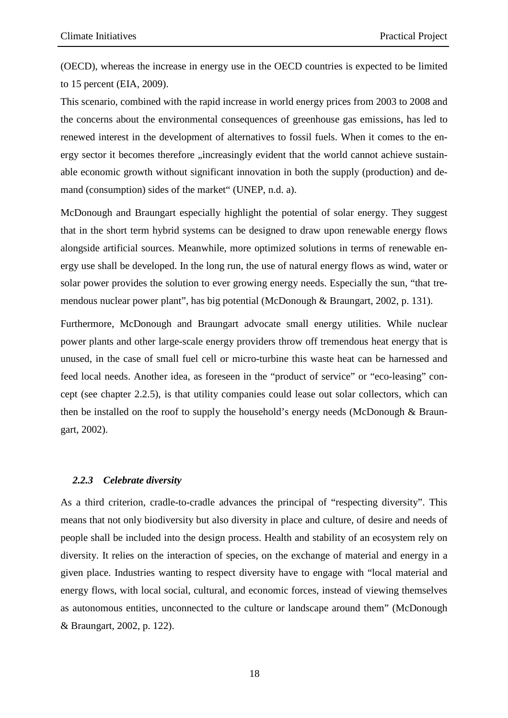(OECD), whereas the increase in energy use in the OECD countries is expected to be limited to 15 percent (EIA, 2009).

This scenario, combined with the rapid increase in world energy prices from 2003 to 2008 and the concerns about the environmental consequences of greenhouse gas emissions, has led to renewed interest in the development of alternatives to fossil fuels. When it comes to the energy sector it becomes therefore "increasingly evident that the world cannot achieve sustainable economic growth without significant innovation in both the supply (production) and demand (consumption) sides of the market" (UNEP, n.d. a).

McDonough and Braungart especially highlight the potential of solar energy. They suggest that in the short term hybrid systems can be designed to draw upon renewable energy flows alongside artificial sources. Meanwhile, more optimized solutions in terms of renewable energy use shall be developed. In the long run, the use of natural energy flows as wind, water or solar power provides the solution to ever growing energy needs. Especially the sun, "that tremendous nuclear power plant", has big potential (McDonough & Braungart, 2002, p. 131).

Furthermore, McDonough and Braungart advocate small energy utilities. While nuclear power plants and other large-scale energy providers throw off tremendous heat energy that is unused, in the case of small fuel cell or micro-turbine this waste heat can be harnessed and feed local needs. Another idea, as foreseen in the "product of service" or "eco-leasing" concept (see chapter 2.2.5), is that utility companies could lease out solar collectors, which can then be installed on the roof to supply the household's energy needs (McDonough & Braungart, 2002).

#### *2.2.3 Celebrate diversity*

As a third criterion, cradle-to-cradle advances the principal of "respecting diversity". This means that not only biodiversity but also diversity in place and culture, of desire and needs of people shall be included into the design process. Health and stability of an ecosystem rely on diversity. It relies on the interaction of species, on the exchange of material and energy in a given place. Industries wanting to respect diversity have to engage with "local material and energy flows, with local social, cultural, and economic forces, instead of viewing themselves as autonomous entities, unconnected to the culture or landscape around them" (McDonough & Braungart, 2002, p. 122).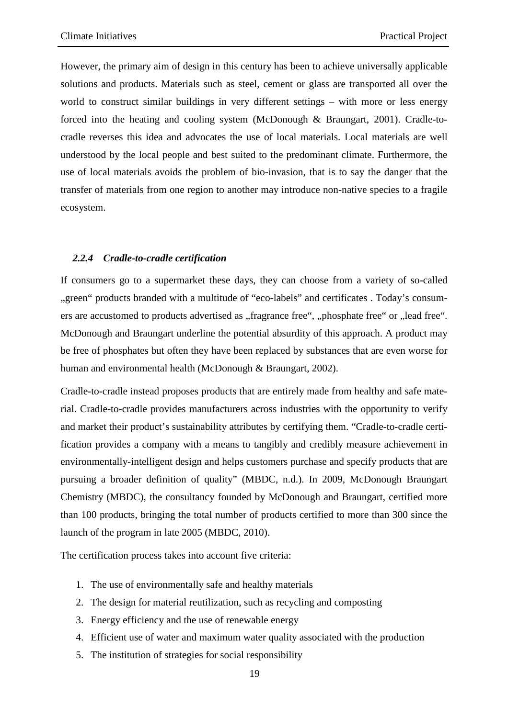However, the primary aim of design in this century has been to achieve universally applicable solutions and products. Materials such as steel, cement or glass are transported all over the world to construct similar buildings in very different settings – with more or less energy forced into the heating and cooling system (McDonough & Braungart, 2001). Cradle-tocradle reverses this idea and advocates the use of local materials. Local materials are well understood by the local people and best suited to the predominant climate. Furthermore, the use of local materials avoids the problem of bio-invasion, that is to say the danger that the transfer of materials from one region to another may introduce non-native species to a fragile ecosystem.

#### *2.2.4 Cradle-to-cradle certification*

If consumers go to a supermarket these days, they can choose from a variety of so-called "green" products branded with a multitude of "eco-labels" and certificates . Today's consumers are accustomed to products advertised as "fragrance free", "phosphate free" or "lead free". McDonough and Braungart underline the potential absurdity of this approach. A product may be free of phosphates but often they have been replaced by substances that are even worse for human and environmental health (McDonough & Braungart, 2002).

Cradle-to-cradle instead proposes products that are entirely made from healthy and safe material. Cradle-to-cradle provides manufacturers across industries with the opportunity to verify and market their product's sustainability attributes by certifying them. "Cradle-to-cradle certification provides a company with a means to tangibly and credibly measure achievement in environmentally-intelligent design and helps customers purchase and specify products that are pursuing a broader definition of quality" (MBDC, n.d.). In 2009, McDonough Braungart Chemistry (MBDC), the consultancy founded by McDonough and Braungart, certified more than 100 products, bringing the total number of products certified to more than 300 since the launch of the program in late 2005 (MBDC, 2010).

The certification process takes into account five criteria:

- 1. The use of environmentally safe and healthy materials
- 2. The design for material reutilization, such as recycling and composting
- 3. Energy efficiency and the use of renewable energy
- 4. Efficient use of water and maximum water quality associated with the production
- 5. The institution of strategies for social responsibility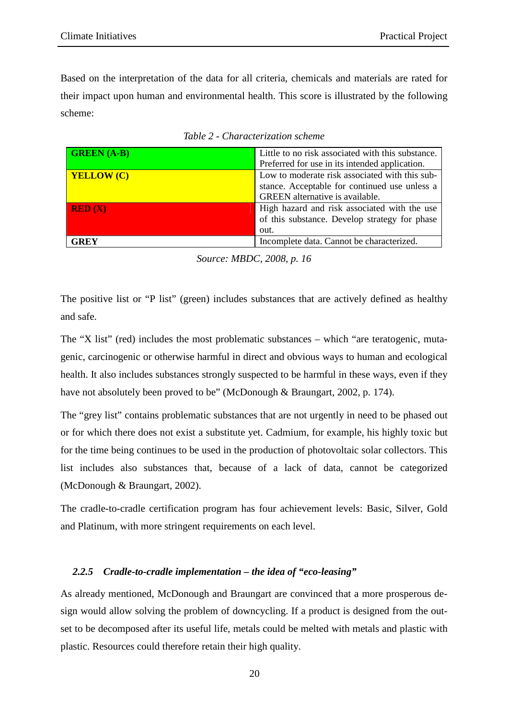Based on the interpretation of the data for all criteria, chemicals and materials are rated for their impact upon human and environmental health. This score is illustrated by the following scheme:

| <b>GREEN</b> (A-B) | Little to no risk associated with this substance. |
|--------------------|---------------------------------------------------|
|                    | Preferred for use in its intended application.    |
| <b>YELLOW (C)</b>  | Low to moderate risk associated with this sub-    |
|                    | stance. Acceptable for continued use unless a     |
|                    | <b>GREEN</b> alternative is available.            |
| RED(X)             | High hazard and risk associated with the use      |
|                    | of this substance. Develop strategy for phase     |
|                    | out.                                              |
| GREY               | Incomplete data. Cannot be characterized.         |

|  | Table 2 - Characterization scheme |
|--|-----------------------------------|
|--|-----------------------------------|

The positive list or "P list" (green) includes substances that are actively defined as healthy and safe.

The "X list" (red) includes the most problematic substances – which "are teratogenic, mutagenic, carcinogenic or otherwise harmful in direct and obvious ways to human and ecological health. It also includes substances strongly suspected to be harmful in these ways, even if they have not absolutely been proved to be" (McDonough & Braungart, 2002, p. 174).

The "grey list" contains problematic substances that are not urgently in need to be phased out or for which there does not exist a substitute yet. Cadmium, for example, his highly toxic but for the time being continues to be used in the production of photovoltaic solar collectors. This list includes also substances that, because of a lack of data, cannot be categorized (McDonough & Braungart, 2002).

The cradle-to-cradle certification program has four achievement levels: Basic, Silver, Gold and Platinum, with more stringent requirements on each level.

#### *2.2.5 Cradle-to-cradle implementation – the idea of "eco-leasing"*

As already mentioned, McDonough and Braungart are convinced that a more prosperous design would allow solving the problem of downcycling. If a product is designed from the outset to be decomposed after its useful life, metals could be melted with metals and plastic with plastic. Resources could therefore retain their high quality.

*Source: MBDC, 2008, p. 16*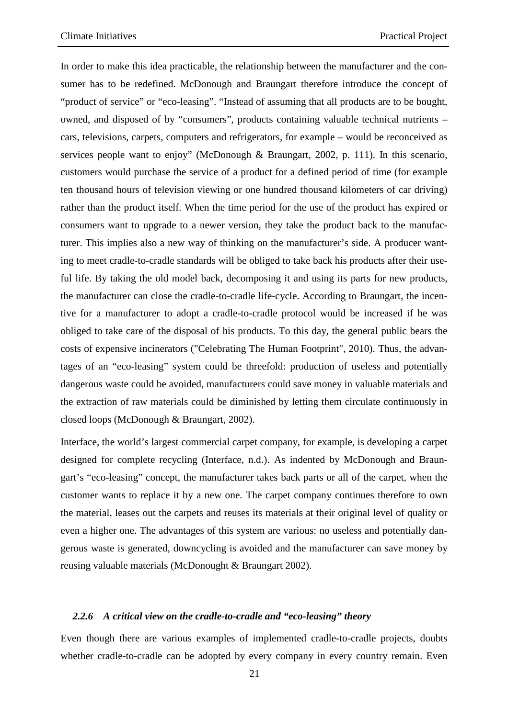In order to make this idea practicable, the relationship between the manufacturer and the consumer has to be redefined. McDonough and Braungart therefore introduce the concept of "product of service" or "eco-leasing". "Instead of assuming that all products are to be bought, owned, and disposed of by "consumers", products containing valuable technical nutrients – cars, televisions, carpets, computers and refrigerators, for example – would be reconceived as services people want to enjoy" (McDonough & Braungart, 2002, p. 111). In this scenario, customers would purchase the service of a product for a defined period of time (for example ten thousand hours of television viewing or one hundred thousand kilometers of car driving) rather than the product itself. When the time period for the use of the product has expired or consumers want to upgrade to a newer version, they take the product back to the manufacturer. This implies also a new way of thinking on the manufacturer's side. A producer wanting to meet cradle-to-cradle standards will be obliged to take back his products after their useful life. By taking the old model back, decomposing it and using its parts for new products, the manufacturer can close the cradle-to-cradle life-cycle. According to Braungart, the incentive for a manufacturer to adopt a cradle-to-cradle protocol would be increased if he was obliged to take care of the disposal of his products. To this day, the general public bears the costs of expensive incinerators ("Celebrating The Human Footprint", 2010). Thus, the advantages of an "eco-leasing" system could be threefold: production of useless and potentially dangerous waste could be avoided, manufacturers could save money in valuable materials and the extraction of raw materials could be diminished by letting them circulate continuously in closed loops (McDonough & Braungart, 2002).

Interface, the world's largest commercial carpet company, for example, is developing a carpet designed for complete recycling (Interface, n.d.). As indented by McDonough and Braungart's "eco-leasing" concept, the manufacturer takes back parts or all of the carpet, when the customer wants to replace it by a new one. The carpet company continues therefore to own the material, leases out the carpets and reuses its materials at their original level of quality or even a higher one. The advantages of this system are various: no useless and potentially dangerous waste is generated, downcycling is avoided and the manufacturer can save money by reusing valuable materials (McDonought & Braungart 2002).

#### *2.2.6 A critical view on the cradle-to-cradle and "eco-leasing" theory*

Even though there are various examples of implemented cradle-to-cradle projects, doubts whether cradle-to-cradle can be adopted by every company in every country remain. Even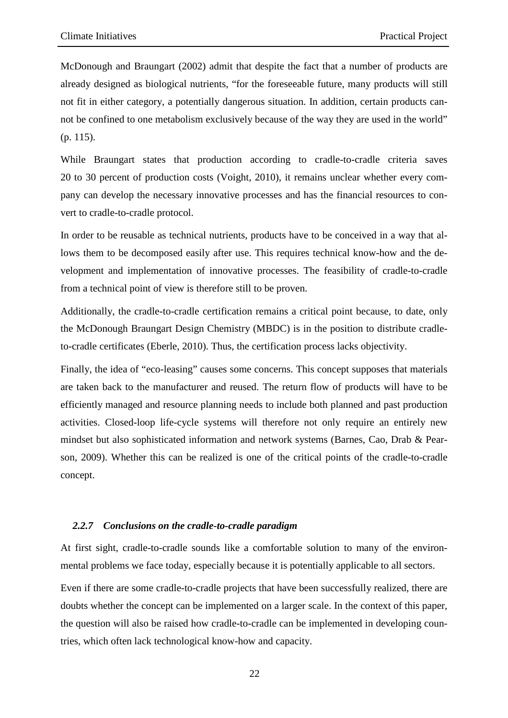McDonough and Braungart (2002) admit that despite the fact that a number of products are already designed as biological nutrients, "for the foreseeable future, many products will still not fit in either category, a potentially dangerous situation. In addition, certain products cannot be confined to one metabolism exclusively because of the way they are used in the world" (p. 115).

While Braungart states that production according to cradle-to-cradle criteria saves 20 to 30 percent of production costs (Voight, 2010), it remains unclear whether every company can develop the necessary innovative processes and has the financial resources to convert to cradle-to-cradle protocol.

In order to be reusable as technical nutrients, products have to be conceived in a way that allows them to be decomposed easily after use. This requires technical know-how and the development and implementation of innovative processes. The feasibility of cradle-to-cradle from a technical point of view is therefore still to be proven.

Additionally, the cradle-to-cradle certification remains a critical point because, to date, only the McDonough Braungart Design Chemistry (MBDC) is in the position to distribute cradleto-cradle certificates (Eberle, 2010). Thus, the certification process lacks objectivity.

Finally, the idea of "eco-leasing" causes some concerns. This concept supposes that materials are taken back to the manufacturer and reused. The return flow of products will have to be efficiently managed and resource planning needs to include both planned and past production activities. Closed-loop life-cycle systems will therefore not only require an entirely new mindset but also sophisticated information and network systems (Barnes, Cao, Drab & Pearson, 2009). Whether this can be realized is one of the critical points of the cradle-to-cradle concept.

#### *2.2.7 Conclusions on the cradle-to-cradle paradigm*

At first sight, cradle-to-cradle sounds like a comfortable solution to many of the environmental problems we face today, especially because it is potentially applicable to all sectors.

Even if there are some cradle-to-cradle projects that have been successfully realized, there are doubts whether the concept can be implemented on a larger scale. In the context of this paper, the question will also be raised how cradle-to-cradle can be implemented in developing countries, which often lack technological know-how and capacity.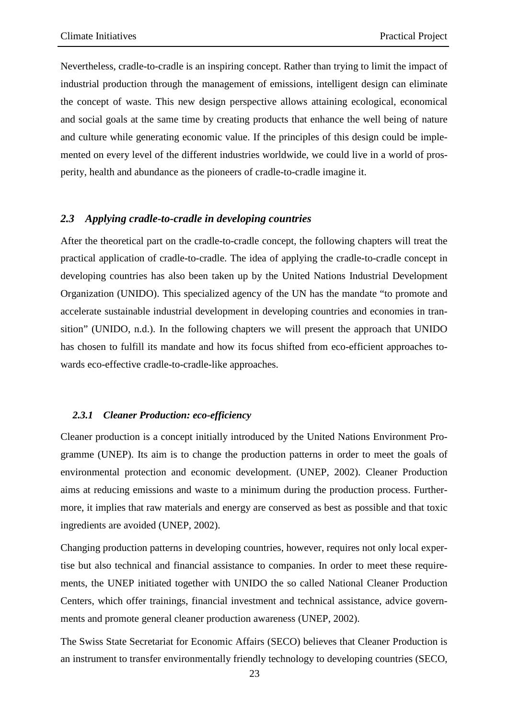Nevertheless, cradle-to-cradle is an inspiring concept. Rather than trying to limit the impact of industrial production through the management of emissions, intelligent design can eliminate the concept of waste. This new design perspective allows attaining ecological, economical and social goals at the same time by creating products that enhance the well being of nature and culture while generating economic value. If the principles of this design could be implemented on every level of the different industries worldwide, we could live in a world of prosperity, health and abundance as the pioneers of cradle-to-cradle imagine it.

#### *2.3 Applying cradle-to-cradle in developing countries*

After the theoretical part on the cradle-to-cradle concept, the following chapters will treat the practical application of cradle-to-cradle. The idea of applying the cradle-to-cradle concept in developing countries has also been taken up by the United Nations Industrial Development Organization (UNIDO). This specialized agency of the UN has the mandate "to promote and accelerate sustainable industrial development in developing countries and economies in transition" (UNIDO, n.d.). In the following chapters we will present the approach that UNIDO has chosen to fulfill its mandate and how its focus shifted from eco-efficient approaches towards eco-effective cradle-to-cradle-like approaches.

#### *2.3.1 Cleaner Production: eco-efficiency*

Cleaner production is a concept initially introduced by the United Nations Environment Programme (UNEP). Its aim is to change the production patterns in order to meet the goals of environmental protection and economic development. (UNEP, 2002). Cleaner Production aims at reducing emissions and waste to a minimum during the production process. Furthermore, it implies that raw materials and energy are conserved as best as possible and that toxic ingredients are avoided (UNEP, 2002).

Changing production patterns in developing countries, however, requires not only local expertise but also technical and financial assistance to companies. In order to meet these requirements, the UNEP initiated together with UNIDO the so called National Cleaner Production Centers, which offer trainings, financial investment and technical assistance, advice governments and promote general cleaner production awareness (UNEP, 2002).

The Swiss State Secretariat for Economic Affairs (SECO) believes that Cleaner Production is an instrument to transfer environmentally friendly technology to developing countries (SECO,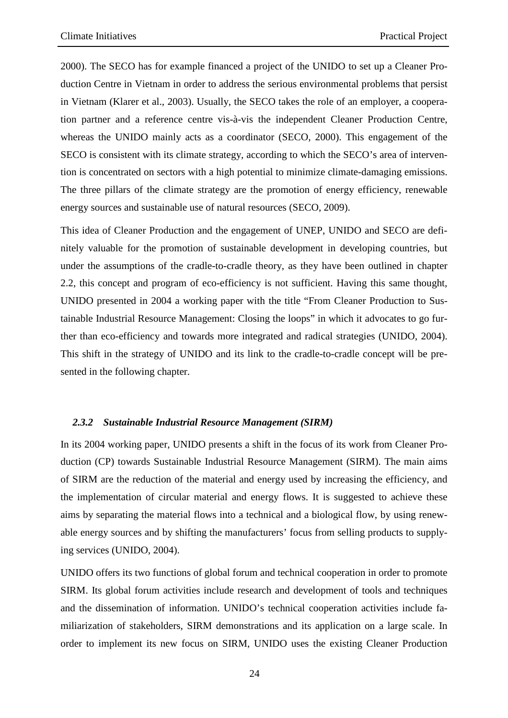2000). The SECO has for example financed a project of the UNIDO to set up a Cleaner Production Centre in Vietnam in order to address the serious environmental problems that persist in Vietnam (Klarer et al., 2003). Usually, the SECO takes the role of an employer, a cooperation partner and a reference centre vis-à-vis the independent Cleaner Production Centre, whereas the UNIDO mainly acts as a coordinator (SECO, 2000). This engagement of the SECO is consistent with its climate strategy, according to which the SECO's area of intervention is concentrated on sectors with a high potential to minimize climate-damaging emissions. The three pillars of the climate strategy are the promotion of energy efficiency, renewable energy sources and sustainable use of natural resources (SECO, 2009).

This idea of Cleaner Production and the engagement of UNEP, UNIDO and SECO are definitely valuable for the promotion of sustainable development in developing countries, but under the assumptions of the cradle-to-cradle theory, as they have been outlined in chapter 2.2, this concept and program of eco-efficiency is not sufficient. Having this same thought, UNIDO presented in 2004 a working paper with the title "From Cleaner Production to Sustainable Industrial Resource Management: Closing the loops" in which it advocates to go further than eco-efficiency and towards more integrated and radical strategies (UNIDO, 2004). This shift in the strategy of UNIDO and its link to the cradle-to-cradle concept will be presented in the following chapter.

#### *2.3.2 Sustainable Industrial Resource Management (SIRM)*

In its 2004 working paper, UNIDO presents a shift in the focus of its work from Cleaner Production (CP) towards Sustainable Industrial Resource Management (SIRM). The main aims of SIRM are the reduction of the material and energy used by increasing the efficiency, and the implementation of circular material and energy flows. It is suggested to achieve these aims by separating the material flows into a technical and a biological flow, by using renewable energy sources and by shifting the manufacturers' focus from selling products to supplying services (UNIDO, 2004).

UNIDO offers its two functions of global forum and technical cooperation in order to promote SIRM. Its global forum activities include research and development of tools and techniques and the dissemination of information. UNIDO's technical cooperation activities include familiarization of stakeholders, SIRM demonstrations and its application on a large scale. In order to implement its new focus on SIRM, UNIDO uses the existing Cleaner Production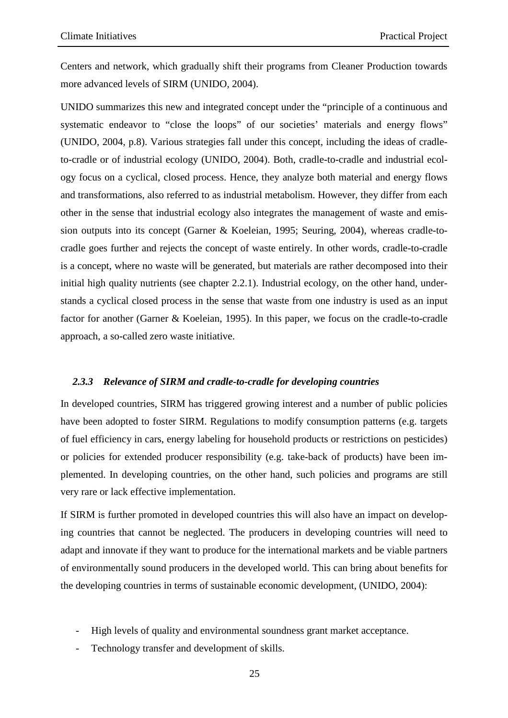Centers and network, which gradually shift their programs from Cleaner Production towards more advanced levels of SIRM (UNIDO, 2004).

UNIDO summarizes this new and integrated concept under the "principle of a continuous and systematic endeavor to "close the loops" of our societies' materials and energy flows" (UNIDO, 2004, p.8). Various strategies fall under this concept, including the ideas of cradleto-cradle or of industrial ecology (UNIDO, 2004). Both, cradle-to-cradle and industrial ecology focus on a cyclical, closed process. Hence, they analyze both material and energy flows and transformations, also referred to as industrial metabolism. However, they differ from each other in the sense that industrial ecology also integrates the management of waste and emission outputs into its concept (Garner & Koeleian, 1995; Seuring, 2004), whereas cradle-tocradle goes further and rejects the concept of waste entirely. In other words, cradle-to-cradle is a concept, where no waste will be generated, but materials are rather decomposed into their initial high quality nutrients (see chapter 2.2.1). Industrial ecology, on the other hand, understands a cyclical closed process in the sense that waste from one industry is used as an input factor for another (Garner & Koeleian, 1995). In this paper, we focus on the cradle-to-cradle approach, a so-called zero waste initiative.

#### *2.3.3 Relevance of SIRM and cradle-to-cradle for developing countries*

In developed countries, SIRM has triggered growing interest and a number of public policies have been adopted to foster SIRM. Regulations to modify consumption patterns (e.g. targets of fuel efficiency in cars, energy labeling for household products or restrictions on pesticides) or policies for extended producer responsibility (e.g. take-back of products) have been implemented. In developing countries, on the other hand, such policies and programs are still very rare or lack effective implementation.

If SIRM is further promoted in developed countries this will also have an impact on developing countries that cannot be neglected. The producers in developing countries will need to adapt and innovate if they want to produce for the international markets and be viable partners of environmentally sound producers in the developed world. This can bring about benefits for the developing countries in terms of sustainable economic development, (UNIDO, 2004):

- High levels of quality and environmental soundness grant market acceptance.
- Technology transfer and development of skills.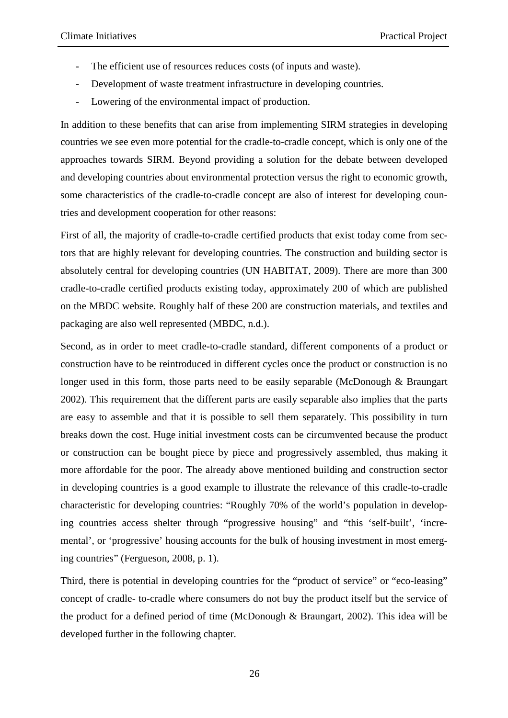- The efficient use of resources reduces costs (of inputs and waste).
- Development of waste treatment infrastructure in developing countries.
- Lowering of the environmental impact of production.

In addition to these benefits that can arise from implementing SIRM strategies in developing countries we see even more potential for the cradle-to-cradle concept, which is only one of the approaches towards SIRM. Beyond providing a solution for the debate between developed and developing countries about environmental protection versus the right to economic growth, some characteristics of the cradle-to-cradle concept are also of interest for developing countries and development cooperation for other reasons:

First of all, the majority of cradle-to-cradle certified products that exist today come from sectors that are highly relevant for developing countries. The construction and building sector is absolutely central for developing countries (UN HABITAT, 2009). There are more than 300 cradle-to-cradle certified products existing today, approximately 200 of which are published on the MBDC website. Roughly half of these 200 are construction materials, and textiles and packaging are also well represented (MBDC, n.d.).

Second, as in order to meet cradle-to-cradle standard, different components of a product or construction have to be reintroduced in different cycles once the product or construction is no longer used in this form, those parts need to be easily separable (McDonough & Braungart 2002). This requirement that the different parts are easily separable also implies that the parts are easy to assemble and that it is possible to sell them separately. This possibility in turn breaks down the cost. Huge initial investment costs can be circumvented because the product or construction can be bought piece by piece and progressively assembled, thus making it more affordable for the poor. The already above mentioned building and construction sector in developing countries is a good example to illustrate the relevance of this cradle-to-cradle characteristic for developing countries: "Roughly 70% of the world's population in developing countries access shelter through "progressive housing" and "this 'self-built', 'incremental', or 'progressive' housing accounts for the bulk of housing investment in most emerging countries" (Fergueson, 2008, p. 1).

Third, there is potential in developing countries for the "product of service" or "eco-leasing" concept of cradle- to-cradle where consumers do not buy the product itself but the service of the product for a defined period of time (McDonough & Braungart, 2002). This idea will be developed further in the following chapter.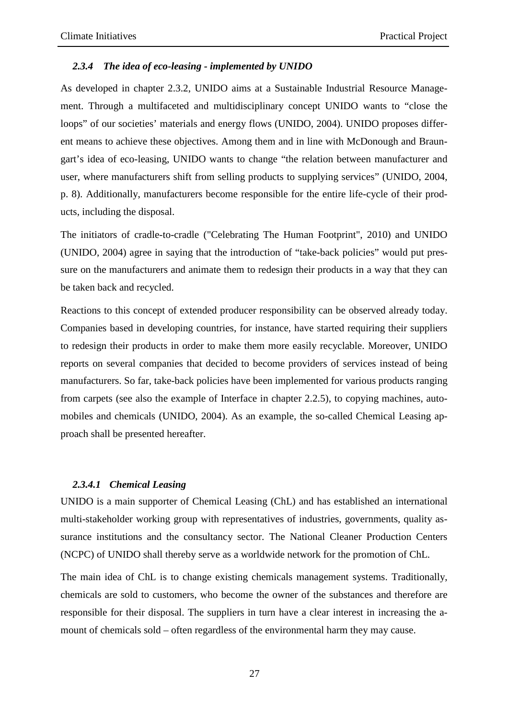#### *2.3.4 The idea of eco-leasing - implemented by UNIDO*

As developed in chapter 2.3.2, UNIDO aims at a Sustainable Industrial Resource Management. Through a multifaceted and multidisciplinary concept UNIDO wants to "close the loops" of our societies' materials and energy flows (UNIDO, 2004). UNIDO proposes different means to achieve these objectives. Among them and in line with McDonough and Braungart's idea of eco-leasing, UNIDO wants to change "the relation between manufacturer and user, where manufacturers shift from selling products to supplying services" (UNIDO, 2004, p. 8). Additionally, manufacturers become responsible for the entire life-cycle of their products, including the disposal.

The initiators of cradle-to-cradle ("Celebrating The Human Footprint", 2010) and UNIDO (UNIDO, 2004) agree in saying that the introduction of "take-back policies" would put pressure on the manufacturers and animate them to redesign their products in a way that they can be taken back and recycled.

Reactions to this concept of extended producer responsibility can be observed already today. Companies based in developing countries, for instance, have started requiring their suppliers to redesign their products in order to make them more easily recyclable. Moreover, UNIDO reports on several companies that decided to become providers of services instead of being manufacturers. So far, take-back policies have been implemented for various products ranging from carpets (see also the example of Interface in chapter 2.2.5), to copying machines, automobiles and chemicals (UNIDO, 2004). As an example, the so-called Chemical Leasing approach shall be presented hereafter.

#### *2.3.4.1 Chemical Leasing*

UNIDO is a main supporter of Chemical Leasing (ChL) and has established an international multi-stakeholder working group with representatives of industries, governments, quality assurance institutions and the consultancy sector. The National Cleaner Production Centers (NCPC) of UNIDO shall thereby serve as a worldwide network for the promotion of ChL.

The main idea of ChL is to change existing chemicals management systems. Traditionally, chemicals are sold to customers, who become the owner of the substances and therefore are responsible for their disposal. The suppliers in turn have a clear interest in increasing the amount of chemicals sold – often regardless of the environmental harm they may cause.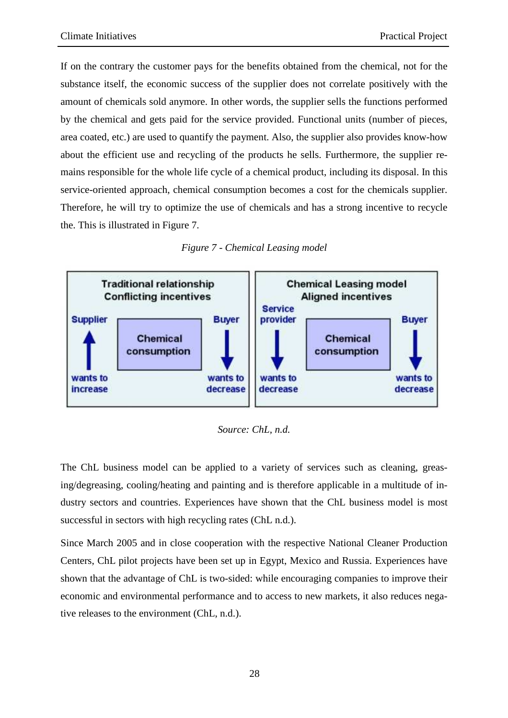If on the contrary the customer pays for the benefits obtained from the chemical, not for the substance itself, the economic success of the supplier does not correlate positively with the amount of chemicals sold anymore. In other words, the supplier sells the functions performed by the chemical and gets paid for the service provided. Functional units (number of pieces, area coated, etc.) are used to quantify the payment. Also, the supplier also provides know-how about the efficient use and recycling of the products he sells. Furthermore, the supplier remains responsible for the whole life cycle of a chemical product, including its disposal. In this service-oriented approach, chemical consumption becomes a cost for the chemicals supplier. Therefore, he will try to optimize the use of chemicals and has a strong incentive to recycle the. This is illustrated in Figure 7.





*Source: ChL, n.d.* 

The ChL business model can be applied to a variety of services such as cleaning, greasing/degreasing, cooling/heating and painting and is therefore applicable in a multitude of industry sectors and countries. Experiences have shown that the ChL business model is most successful in sectors with high recycling rates (ChL n.d.).

Since March 2005 and in close cooperation with the respective National Cleaner Production Centers, ChL pilot projects have been set up in Egypt, Mexico and Russia. Experiences have shown that the advantage of ChL is two-sided: while encouraging companies to improve their economic and environmental performance and to access to new markets, it also reduces negative releases to the environment (ChL, n.d.).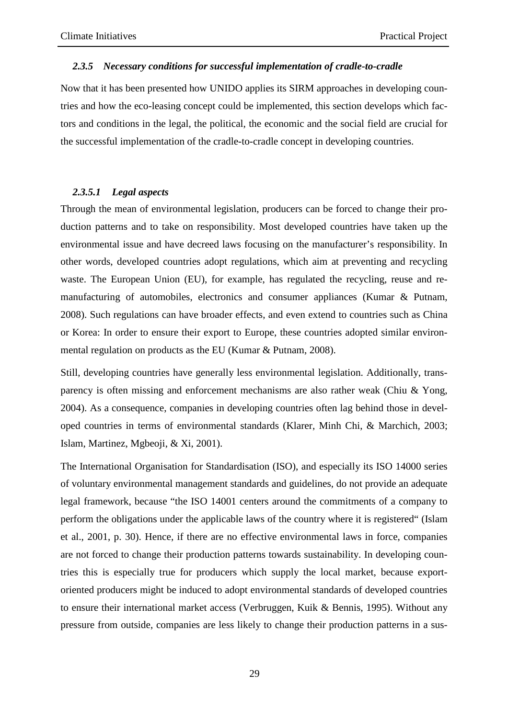#### *2.3.5 Necessary conditions for successful implementation of cradle-to-cradle*

Now that it has been presented how UNIDO applies its SIRM approaches in developing countries and how the eco-leasing concept could be implemented, this section develops which factors and conditions in the legal, the political, the economic and the social field are crucial for the successful implementation of the cradle-to-cradle concept in developing countries.

#### *2.3.5.1 Legal aspects*

Through the mean of environmental legislation, producers can be forced to change their production patterns and to take on responsibility. Most developed countries have taken up the environmental issue and have decreed laws focusing on the manufacturer's responsibility. In other words, developed countries adopt regulations, which aim at preventing and recycling waste. The European Union (EU), for example, has regulated the recycling, reuse and remanufacturing of automobiles, electronics and consumer appliances (Kumar & Putnam, 2008). Such regulations can have broader effects, and even extend to countries such as China or Korea: In order to ensure their export to Europe, these countries adopted similar environmental regulation on products as the EU (Kumar & Putnam, 2008).

Still, developing countries have generally less environmental legislation. Additionally, transparency is often missing and enforcement mechanisms are also rather weak (Chiu & Yong, 2004). As a consequence, companies in developing countries often lag behind those in developed countries in terms of environmental standards (Klarer, Minh Chi, & Marchich, 2003; Islam, Martinez, Mgbeoji, & Xi, 2001).

The International Organisation for Standardisation (ISO), and especially its ISO 14000 series of voluntary environmental management standards and guidelines, do not provide an adequate legal framework, because "the ISO 14001 centers around the commitments of a company to perform the obligations under the applicable laws of the country where it is registered" (Islam et al., 2001, p. 30). Hence, if there are no effective environmental laws in force, companies are not forced to change their production patterns towards sustainability. In developing countries this is especially true for producers which supply the local market, because exportoriented producers might be induced to adopt environmental standards of developed countries to ensure their international market access (Verbruggen, Kuik & Bennis, 1995). Without any pressure from outside, companies are less likely to change their production patterns in a sus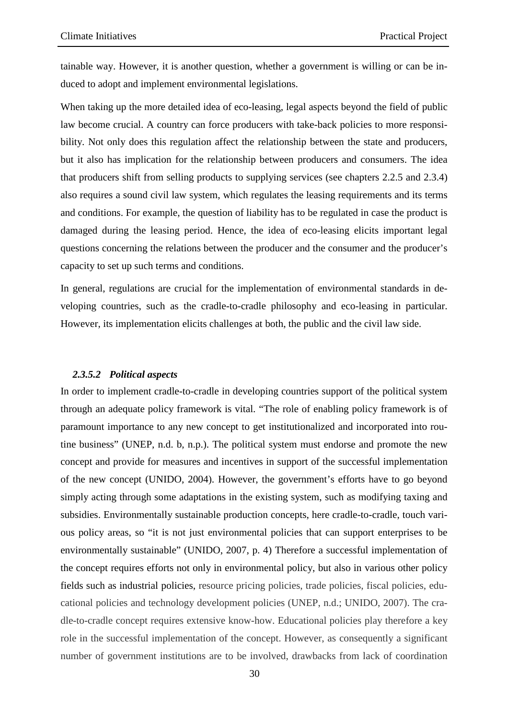tainable way. However, it is another question, whether a government is willing or can be induced to adopt and implement environmental legislations.

When taking up the more detailed idea of eco-leasing, legal aspects beyond the field of public law become crucial. A country can force producers with take-back policies to more responsibility. Not only does this regulation affect the relationship between the state and producers, but it also has implication for the relationship between producers and consumers. The idea that producers shift from selling products to supplying services (see chapters 2.2.5 and 2.3.4) also requires a sound civil law system, which regulates the leasing requirements and its terms and conditions. For example, the question of liability has to be regulated in case the product is damaged during the leasing period. Hence, the idea of eco-leasing elicits important legal questions concerning the relations between the producer and the consumer and the producer's capacity to set up such terms and conditions.

In general, regulations are crucial for the implementation of environmental standards in developing countries, such as the cradle-to-cradle philosophy and eco-leasing in particular. However, its implementation elicits challenges at both, the public and the civil law side.

#### *2.3.5.2 Political aspects*

In order to implement cradle-to-cradle in developing countries support of the political system through an adequate policy framework is vital. "The role of enabling policy framework is of paramount importance to any new concept to get institutionalized and incorporated into routine business" (UNEP, n.d. b, n.p.). The political system must endorse and promote the new concept and provide for measures and incentives in support of the successful implementation of the new concept (UNIDO, 2004). However, the government's efforts have to go beyond simply acting through some adaptations in the existing system, such as modifying taxing and subsidies. Environmentally sustainable production concepts, here cradle-to-cradle, touch various policy areas, so "it is not just environmental policies that can support enterprises to be environmentally sustainable" (UNIDO, 2007, p. 4) Therefore a successful implementation of the concept requires efforts not only in environmental policy, but also in various other policy fields such as industrial policies, resource pricing policies, trade policies, fiscal policies, educational policies and technology development policies (UNEP, n.d.; UNIDO, 2007). The cradle-to-cradle concept requires extensive know-how. Educational policies play therefore a key role in the successful implementation of the concept. However, as consequently a significant number of government institutions are to be involved, drawbacks from lack of coordination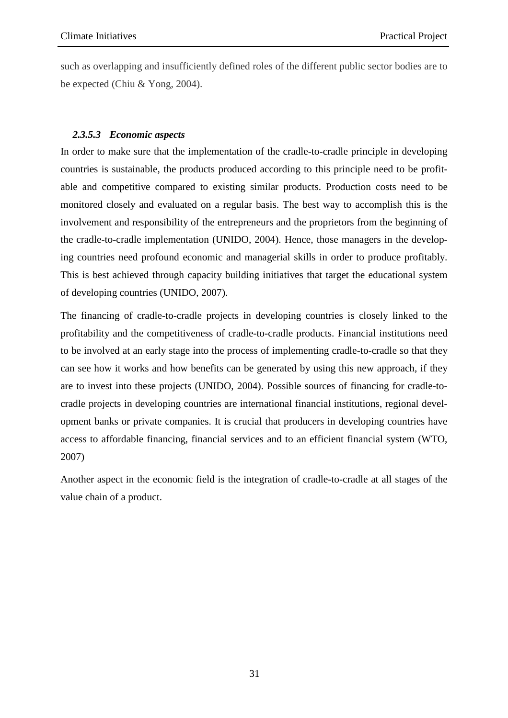such as overlapping and insufficiently defined roles of the different public sector bodies are to be expected (Chiu & Yong, 2004).

#### *2.3.5.3 Economic aspects*

In order to make sure that the implementation of the cradle-to-cradle principle in developing countries is sustainable, the products produced according to this principle need to be profitable and competitive compared to existing similar products. Production costs need to be monitored closely and evaluated on a regular basis. The best way to accomplish this is the involvement and responsibility of the entrepreneurs and the proprietors from the beginning of the cradle-to-cradle implementation (UNIDO, 2004). Hence, those managers in the developing countries need profound economic and managerial skills in order to produce profitably. This is best achieved through capacity building initiatives that target the educational system of developing countries (UNIDO, 2007).

The financing of cradle-to-cradle projects in developing countries is closely linked to the profitability and the competitiveness of cradle-to-cradle products. Financial institutions need to be involved at an early stage into the process of implementing cradle-to-cradle so that they can see how it works and how benefits can be generated by using this new approach, if they are to invest into these projects (UNIDO, 2004). Possible sources of financing for cradle-tocradle projects in developing countries are international financial institutions, regional development banks or private companies. It is crucial that producers in developing countries have access to affordable financing, financial services and to an efficient financial system (WTO, 2007)

Another aspect in the economic field is the integration of cradle-to-cradle at all stages of the value chain of a product.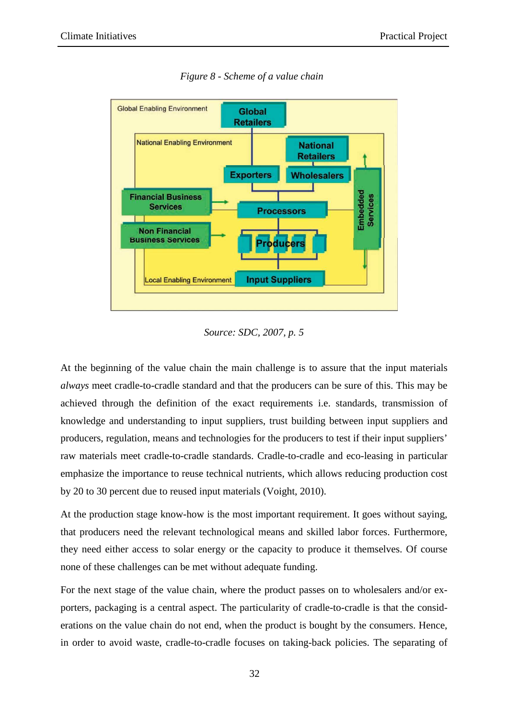

*Figure 8 - Scheme of a value chain* 

#### *Source: SDC, 2007, p. 5*

At the beginning of the value chain the main challenge is to assure that the input materials *always* meet cradle-to-cradle standard and that the producers can be sure of this. This may be achieved through the definition of the exact requirements i.e. standards, transmission of knowledge and understanding to input suppliers, trust building between input suppliers and producers, regulation, means and technologies for the producers to test if their input suppliers' raw materials meet cradle-to-cradle standards. Cradle-to-cradle and eco-leasing in particular emphasize the importance to reuse technical nutrients, which allows reducing production cost by 20 to 30 percent due to reused input materials (Voight, 2010).

At the production stage know-how is the most important requirement. It goes without saying, that producers need the relevant technological means and skilled labor forces. Furthermore, they need either access to solar energy or the capacity to produce it themselves. Of course none of these challenges can be met without adequate funding.

For the next stage of the value chain, where the product passes on to wholesalers and/or exporters, packaging is a central aspect. The particularity of cradle-to-cradle is that the considerations on the value chain do not end, when the product is bought by the consumers. Hence, in order to avoid waste, cradle-to-cradle focuses on taking-back policies. The separating of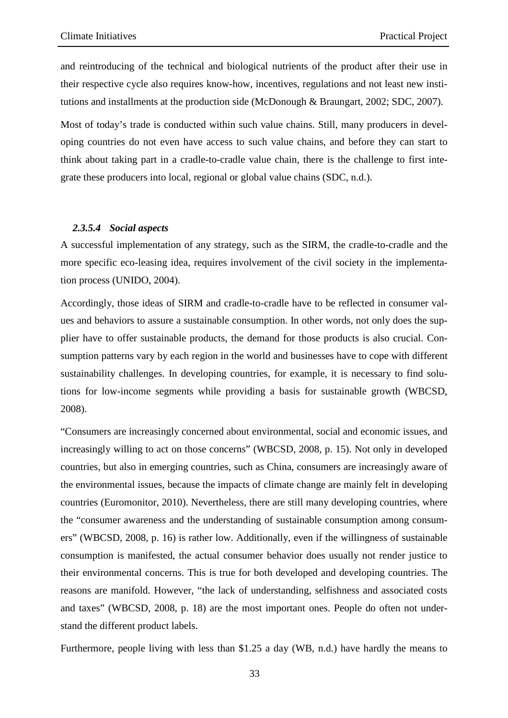and reintroducing of the technical and biological nutrients of the product after their use in their respective cycle also requires know-how, incentives, regulations and not least new institutions and installments at the production side (McDonough & Braungart, 2002; SDC, 2007).

Most of today's trade is conducted within such value chains. Still, many producers in developing countries do not even have access to such value chains, and before they can start to think about taking part in a cradle-to-cradle value chain, there is the challenge to first integrate these producers into local, regional or global value chains (SDC, n.d.).

#### *2.3.5.4 Social aspects*

A successful implementation of any strategy, such as the SIRM, the cradle-to-cradle and the more specific eco-leasing idea, requires involvement of the civil society in the implementation process (UNIDO, 2004).

Accordingly, those ideas of SIRM and cradle-to-cradle have to be reflected in consumer values and behaviors to assure a sustainable consumption. In other words, not only does the supplier have to offer sustainable products, the demand for those products is also crucial. Consumption patterns vary by each region in the world and businesses have to cope with different sustainability challenges. In developing countries, for example, it is necessary to find solutions for low-income segments while providing a basis for sustainable growth (WBCSD, 2008).

"Consumers are increasingly concerned about environmental, social and economic issues, and increasingly willing to act on those concerns" (WBCSD, 2008, p. 15). Not only in developed countries, but also in emerging countries, such as China, consumers are increasingly aware of the environmental issues, because the impacts of climate change are mainly felt in developing countries (Euromonitor, 2010). Nevertheless, there are still many developing countries, where the "consumer awareness and the understanding of sustainable consumption among consumers" (WBCSD, 2008, p. 16) is rather low. Additionally, even if the willingness of sustainable consumption is manifested, the actual consumer behavior does usually not render justice to their environmental concerns. This is true for both developed and developing countries. The reasons are manifold. However, "the lack of understanding, selfishness and associated costs and taxes" (WBCSD, 2008, p. 18) are the most important ones. People do often not understand the different product labels.

Furthermore, people living with less than \$1.25 a day (WB, n.d.) have hardly the means to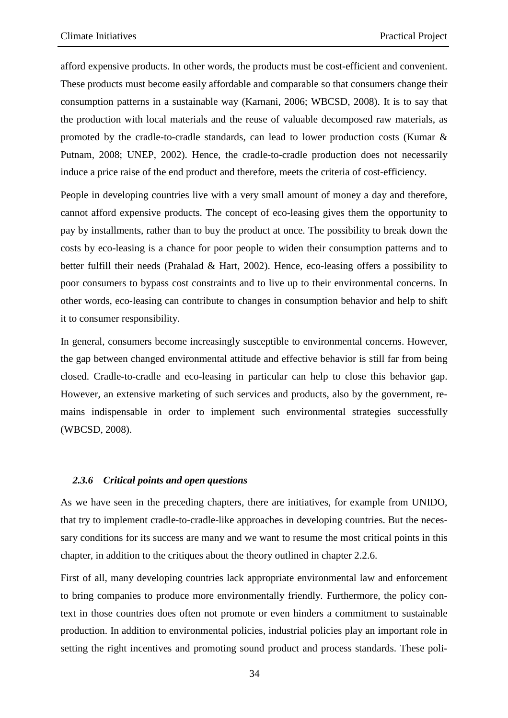afford expensive products. In other words, the products must be cost-efficient and convenient. These products must become easily affordable and comparable so that consumers change their consumption patterns in a sustainable way (Karnani, 2006; WBCSD, 2008). It is to say that the production with local materials and the reuse of valuable decomposed raw materials, as promoted by the cradle-to-cradle standards, can lead to lower production costs (Kumar & Putnam, 2008; UNEP, 2002). Hence, the cradle-to-cradle production does not necessarily induce a price raise of the end product and therefore, meets the criteria of cost-efficiency.

People in developing countries live with a very small amount of money a day and therefore, cannot afford expensive products. The concept of eco-leasing gives them the opportunity to pay by installments, rather than to buy the product at once. The possibility to break down the costs by eco-leasing is a chance for poor people to widen their consumption patterns and to better fulfill their needs (Prahalad & Hart, 2002). Hence, eco-leasing offers a possibility to poor consumers to bypass cost constraints and to live up to their environmental concerns. In other words, eco-leasing can contribute to changes in consumption behavior and help to shift it to consumer responsibility.

In general, consumers become increasingly susceptible to environmental concerns. However, the gap between changed environmental attitude and effective behavior is still far from being closed. Cradle-to-cradle and eco-leasing in particular can help to close this behavior gap. However, an extensive marketing of such services and products, also by the government, remains indispensable in order to implement such environmental strategies successfully (WBCSD, 2008).

#### *2.3.6 Critical points and open questions*

As we have seen in the preceding chapters, there are initiatives, for example from UNIDO, that try to implement cradle-to-cradle-like approaches in developing countries. But the necessary conditions for its success are many and we want to resume the most critical points in this chapter, in addition to the critiques about the theory outlined in chapter 2.2.6.

First of all, many developing countries lack appropriate environmental law and enforcement to bring companies to produce more environmentally friendly. Furthermore, the policy context in those countries does often not promote or even hinders a commitment to sustainable production. In addition to environmental policies, industrial policies play an important role in setting the right incentives and promoting sound product and process standards. These poli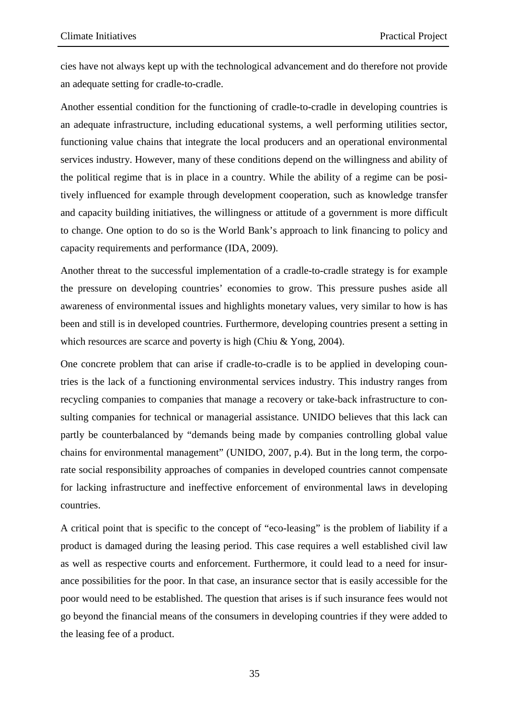cies have not always kept up with the technological advancement and do therefore not provide an adequate setting for cradle-to-cradle.

Another essential condition for the functioning of cradle-to-cradle in developing countries is an adequate infrastructure, including educational systems, a well performing utilities sector, functioning value chains that integrate the local producers and an operational environmental services industry. However, many of these conditions depend on the willingness and ability of the political regime that is in place in a country. While the ability of a regime can be positively influenced for example through development cooperation, such as knowledge transfer and capacity building initiatives, the willingness or attitude of a government is more difficult to change. One option to do so is the World Bank's approach to link financing to policy and capacity requirements and performance (IDA, 2009).

Another threat to the successful implementation of a cradle-to-cradle strategy is for example the pressure on developing countries' economies to grow. This pressure pushes aside all awareness of environmental issues and highlights monetary values, very similar to how is has been and still is in developed countries. Furthermore, developing countries present a setting in which resources are scarce and poverty is high (Chiu & Yong, 2004).

One concrete problem that can arise if cradle-to-cradle is to be applied in developing countries is the lack of a functioning environmental services industry. This industry ranges from recycling companies to companies that manage a recovery or take-back infrastructure to consulting companies for technical or managerial assistance. UNIDO believes that this lack can partly be counterbalanced by "demands being made by companies controlling global value chains for environmental management" (UNIDO, 2007, p.4). But in the long term, the corporate social responsibility approaches of companies in developed countries cannot compensate for lacking infrastructure and ineffective enforcement of environmental laws in developing countries.

A critical point that is specific to the concept of "eco-leasing" is the problem of liability if a product is damaged during the leasing period. This case requires a well established civil law as well as respective courts and enforcement. Furthermore, it could lead to a need for insurance possibilities for the poor. In that case, an insurance sector that is easily accessible for the poor would need to be established. The question that arises is if such insurance fees would not go beyond the financial means of the consumers in developing countries if they were added to the leasing fee of a product.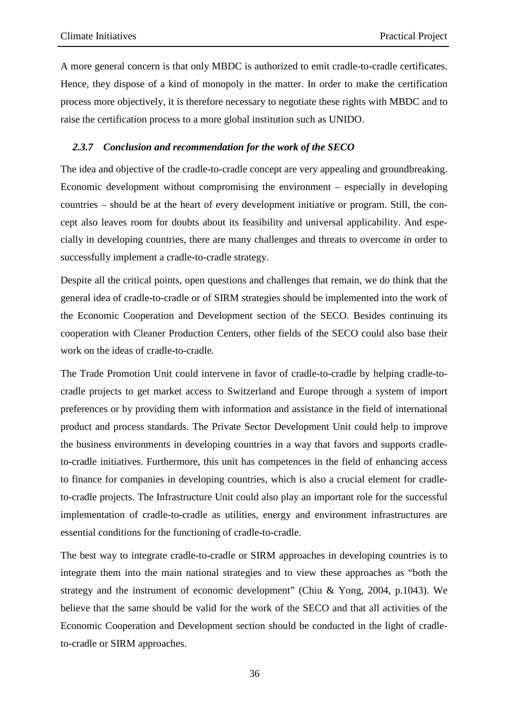A more general concern is that only MBDC is authorized to emit cradle-to-cradle certificates. Hence, they dispose of a kind of monopoly in the matter. In order to make the certification process more objectively, it is therefore necessary to negotiate these rights with MBDC and to raise the certification process to a more global institution such as UNIDO.

#### *2.3.7 Conclusion and recommendation for the work of the SECO*

The idea and objective of the cradle-to-cradle concept are very appealing and groundbreaking. Economic development without compromising the environment – especially in developing countries – should be at the heart of every development initiative or program. Still, the concept also leaves room for doubts about its feasibility and universal applicability. And especially in developing countries, there are many challenges and threats to overcome in order to successfully implement a cradle-to-cradle strategy.

Despite all the critical points, open questions and challenges that remain, we do think that the general idea of cradle-to-cradle or of SIRM strategies should be implemented into the work of the Economic Cooperation and Development section of the SECO. Besides continuing its cooperation with Cleaner Production Centers, other fields of the SECO could also base their work on the ideas of cradle-to-cradle.

The Trade Promotion Unit could intervene in favor of cradle-to-cradle by helping cradle-tocradle projects to get market access to Switzerland and Europe through a system of import preferences or by providing them with information and assistance in the field of international product and process standards. The Private Sector Development Unit could help to improve the business environments in developing countries in a way that favors and supports cradleto-cradle initiatives. Furthermore, this unit has competences in the field of enhancing access to finance for companies in developing countries, which is also a crucial element for cradleto-cradle projects. The Infrastructure Unit could also play an important role for the successful implementation of cradle-to-cradle as utilities, energy and environment infrastructures are essential conditions for the functioning of cradle-to-cradle.

The best way to integrate cradle-to-cradle or SIRM approaches in developing countries is to integrate them into the main national strategies and to view these approaches as "both the strategy and the instrument of economic development" (Chiu & Yong, 2004, p.1043). We believe that the same should be valid for the work of the SECO and that all activities of the Economic Cooperation and Development section should be conducted in the light of cradleto-cradle or SIRM approaches.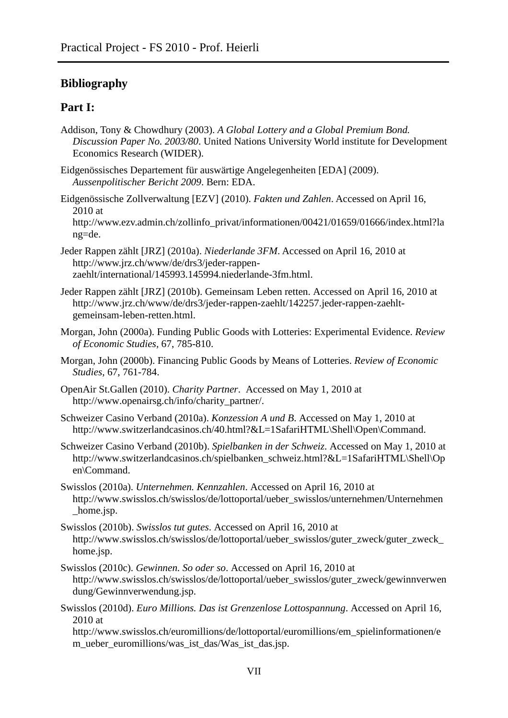# **Bibliography**

## **Part I:**

- Addison, Tony & Chowdhury (2003). *A Global Lottery and a Global Premium Bond. Discussion Paper No. 2003/80*. United Nations University World institute for Development Economics Research (WIDER).
- Eidgenössisches Departement für auswärtige Angelegenheiten [EDA] (2009). *Aussenpolitischer Bericht 2009*. Bern: EDA.
- Eidgenössische Zollverwaltung [EZV] (2010). *Fakten und Zahlen*. Accessed on April 16, 2010 at
	- http://www.ezv.admin.ch/zollinfo\_privat/informationen/00421/01659/01666/index.html?la ng=de.
- Jeder Rappen zählt [JRZ] (2010a). *Niederlande 3FM*. Accessed on April 16, 2010 at http://www.jrz.ch/www/de/drs3/jeder-rappenzaehlt/international/145993.145994.niederlande-3fm.html.
- Jeder Rappen zählt [JRZ] (2010b). Gemeinsam Leben retten. Accessed on April 16, 2010 at http://www.jrz.ch/www/de/drs3/jeder-rappen-zaehlt/142257.jeder-rappen-zaehltgemeinsam-leben-retten.html.
- Morgan, John (2000a). Funding Public Goods with Lotteries: Experimental Evidence. *Review of Economic Studies,* 67, 785-810.
- Morgan, John (2000b). Financing Public Goods by Means of Lotteries. *Review of Economic Studies,* 67, 761-784.
- OpenAir St.Gallen (2010). *Charity Partner*. Accessed on May 1, 2010 at http://www.openairsg.ch/info/charity\_partner/.
- Schweizer Casino Verband (2010a). *Konzession A und B*. Accessed on May 1, 2010 at http://www.switzerlandcasinos.ch/40.html?&L=1SafariHTML\Shell\Open\Command.
- Schweizer Casino Verband (2010b). *Spielbanken in der Schweiz*. Accessed on May 1, 2010 at http://www.switzerlandcasinos.ch/spielbanken\_schweiz.html?&L=1SafariHTML\Shell\Op en\Command.
- Swisslos (2010a). *Unternehmen. Kennzahlen*. Accessed on April 16, 2010 at http://www.swisslos.ch/swisslos/de/lottoportal/ueber\_swisslos/unternehmen/Unternehmen home.jsp.
- Swisslos (2010b). *Swisslos tut gutes*. Accessed on April 16, 2010 at http://www.swisslos.ch/swisslos/de/lottoportal/ueber\_swisslos/guter\_zweck/guter\_zweck\_ home.jsp.
- Swisslos (2010c). *Gewinnen. So oder so*. Accessed on April 16, 2010 at http://www.swisslos.ch/swisslos/de/lottoportal/ueber\_swisslos/guter\_zweck/gewinnverwen dung/Gewinnverwendung.jsp.
- Swisslos (2010d). *Euro Millions. Das ist Grenzenlose Lottospannung*. Accessed on April 16, 2010 at

http://www.swisslos.ch/euromillions/de/lottoportal/euromillions/em\_spielinformationen/e m\_ueber\_euromillions/was\_ist\_das/Was\_ist\_das.jsp.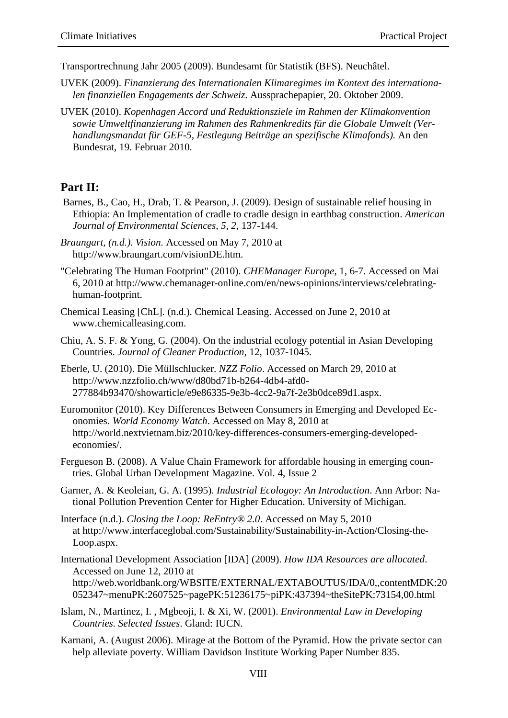Transportrechnung Jahr 2005 (2009). Bundesamt für Statistik (BFS). Neuchâtel.

- UVEK (2009). *Finanzierung des Internationalen Klimaregimes im Kontext des internationalen finanziellen Engagements der Schweiz*. Aussprachepapier, 20. Oktober 2009.
- UVEK (2010). *Kopenhagen Accord und Reduktionsziele im Rahmen der Klimakonvention sowie Umweltfinanzierung im Rahmen des Rahmenkredits für die Globale Umwelt (Verhandlungsmandat für GEF-5, Festlegung Beiträge an spezifische Klimafonds).* An den Bundesrat, 19. Februar 2010.

### **Part II:**

- Barnes, B., Cao, H., Drab, T. & Pearson, J. (2009). Design of sustainable relief housing in Ethiopia: An Implementation of cradle to cradle design in earthbag construction. *American Journal of Environmental Sciences, 5, 2,* 137-144.
- *Braungart, (n.d.). Vision.* Accessed on May 7, 2010 at http://www.braungart.com/visionDE.htm*.*
- "Celebrating The Human Footprint" (2010). *CHEManager Europe*, 1, 6-7. Accessed on Mai 6, 2010 at http://www.chemanager-online.com/en/news-opinions/interviews/celebratinghuman-footprint.
- Chemical Leasing [ChL]. (n.d.). Chemical Leasing. Accessed on June 2, 2010 at www.chemicalleasing.com.
- Chiu, A. S. F. & Yong, G. (2004). On the industrial ecology potential in Asian Developing Countries. *Journal of Cleaner Production,* 12, 1037-1045.
- Eberle, U. (2010). Die Müllschlucker. *NZZ Folio*. Accessed on March 29, 2010 at http://www.nzzfolio.ch/www/d80bd71b-b264-4db4-afd0- 277884b93470/showarticle/e9e86335-9e3b-4cc2-9a7f-2e3b0dce89d1.aspx.
- Euromonitor (2010). Key Differences Between Consumers in Emerging and Developed Economies. *World Economy Watch*. Accessed on May 8, 2010 at http://world.nextvietnam.biz/2010/key-differences-consumers-emerging-developedeconomies/.
- Fergueson B. (2008). A Value Chain Framework for affordable housing in emerging countries. Global Urban Development Magazine. Vol. 4, Issue 2
- Garner, A. & Keoleian, G. A. (1995). *Industrial Ecologoy: An Introduction*. Ann Arbor: National Pollution Prevention Center for Higher Education. University of Michigan.
- Interface (n.d.). *Closing the Loop: ReEntry® 2.0*. Accessed on May 5, 2010 at http://www.interfaceglobal.com/Sustainability/Sustainability-in-Action/Closing-the-Loop.aspx.
- International Development Association [IDA] (2009). *How IDA Resources are allocated*. Accessed on June 12, 2010 at http://web.worldbank.org/WBSITE/EXTERNAL/EXTABOUTUS/IDA/0,,contentMDK:20 052347~menuPK:2607525~pagePK:51236175~piPK:437394~theSitePK:73154,00.html
- Islam, N., Martinez, I. , Mgbeoji, I. & Xi, W. (2001). *Environmental Law in Developing Countries. Selected Issues*. Gland: IUCN.
- Karnani, A. (August 2006). Mirage at the Bottom of the Pyramid. How the private sector can help alleviate poverty. William Davidson Institute Working Paper Number 835.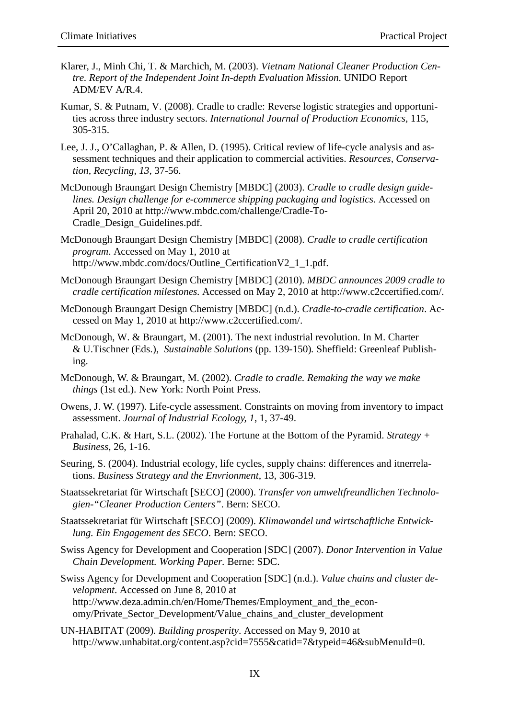- Klarer, J., Minh Chi, T. & Marchich, M. (2003). *Vietnam National Cleaner Production Centre. Report of the Independent Joint In-depth Evaluation Mission*. UNIDO Report ADM/EV A/R.4.
- Kumar, S. & Putnam, V. (2008). Cradle to cradle: Reverse logistic strategies and opportunities across three industry sectors. *International Journal of Production Economics*, 115, 305-315.
- Lee, J. J., O'Callaghan, P. & Allen, D. (1995). Critical review of life-cycle analysis and assessment techniques and their application to commercial activities. *Resources, Conservation, Recycling, 13,* 37-56.
- McDonough Braungart Design Chemistry [MBDC] (2003). *Cradle to cradle design guidelines. Design challenge for e-commerce shipping packaging and logistics*. Accessed on April 20, 2010 at http://www.mbdc.com/challenge/Cradle-To-Cradle\_Design\_Guidelines.pdf.
- McDonough Braungart Design Chemistry [MBDC] (2008). *Cradle to cradle certification program*. Accessed on May 1, 2010 at http://www.mbdc.com/docs/Outline\_CertificationV2\_1\_1.pdf.
- McDonough Braungart Design Chemistry [MBDC] (2010). *MBDC announces 2009 cradle to cradle certification milestones.* Accessed on May 2, 2010 at http://www.c2ccertified.com/.
- McDonough Braungart Design Chemistry [MBDC] (n.d.). *Cradle-to-cradle certification*. Accessed on May 1, 2010 at http://www.c2ccertified.com/.
- McDonough, W. & Braungart, M. (2001). The next industrial revolution. In M. Charter & U.Tischner (Eds.), *Sustainable Solutions* (pp. 139-150)*.* Sheffield: Greenleaf Publishing.
- McDonough, W. & Braungart, M. (2002). *Cradle to cradle. Remaking the way we make things* (1st ed.). New York: North Point Press.
- Owens, J. W. (1997). Life-cycle assessment. Constraints on moving from inventory to impact assessment. *Journal of Industrial Ecology, 1*, 1, 37-49.
- Prahalad, C.K. & Hart, S.L. (2002). The Fortune at the Bottom of the Pyramid. *Strategy + Business*, 26, 1-16.
- Seuring, S. (2004). Industrial ecology, life cycles, supply chains: differences and itnerrelations. *Business Strategy and the Envrionment*, 13, 306-319.
- Staatssekretariat für Wirtschaft [SECO] (2000). *Transfer von umweltfreundlichen Technologien-"Cleaner Production Centers"*. Bern: SECO.
- Staatssekretariat für Wirtschaft [SECO] (2009). *Klimawandel und wirtschaftliche Entwicklung. Ein Engagement des SECO*. Bern: SECO.
- Swiss Agency for Development and Cooperation [SDC] (2007). *Donor Intervention in Value Chain Development. Working Paper.* Berne: SDC.
- Swiss Agency for Development and Cooperation [SDC] (n.d.). *Value chains and cluster development*. Accessed on June 8, 2010 at http://www.deza.admin.ch/en/Home/Themes/Employment\_and\_the\_economy/Private\_Sector\_Development/Value\_chains\_and\_cluster\_development
- UN-HABITAT (2009). *Building prosperity*. Accessed on May 9, 2010 at http://www.unhabitat.org/content.asp?cid=7555&catid=7&typeid=46&subMenuId=0.